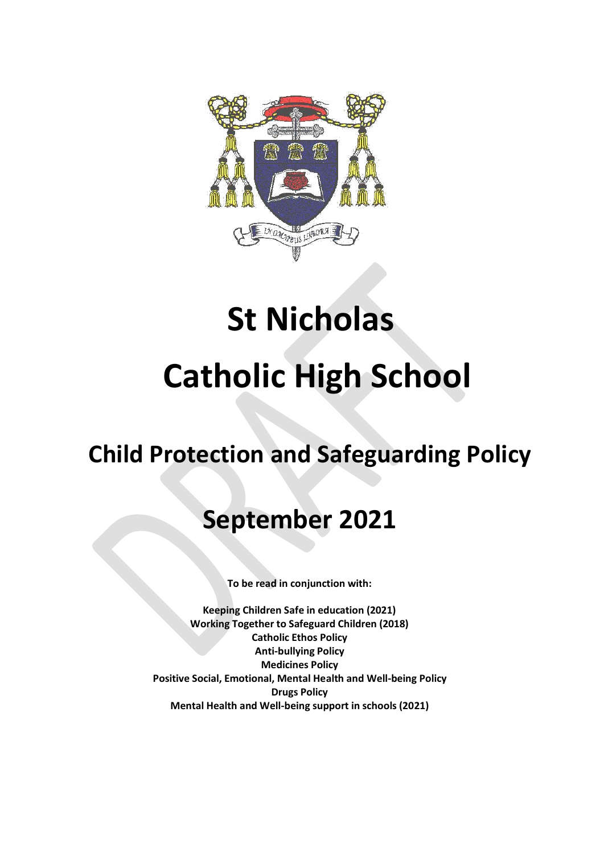

# **St Nicholas Catholic High School**

# **Child Protection and Safeguarding Policy**

# **September 2021**

**To be read in conjunction with:**

**Keeping Children Safe in education (2021) Working Together to Safeguard Children (2018) Catholic Ethos Policy Anti-bullying Policy Medicines Policy Positive Social, Emotional, Mental Health and Well-being Policy Drugs Policy Mental Health and Well-being support in schools (2021)**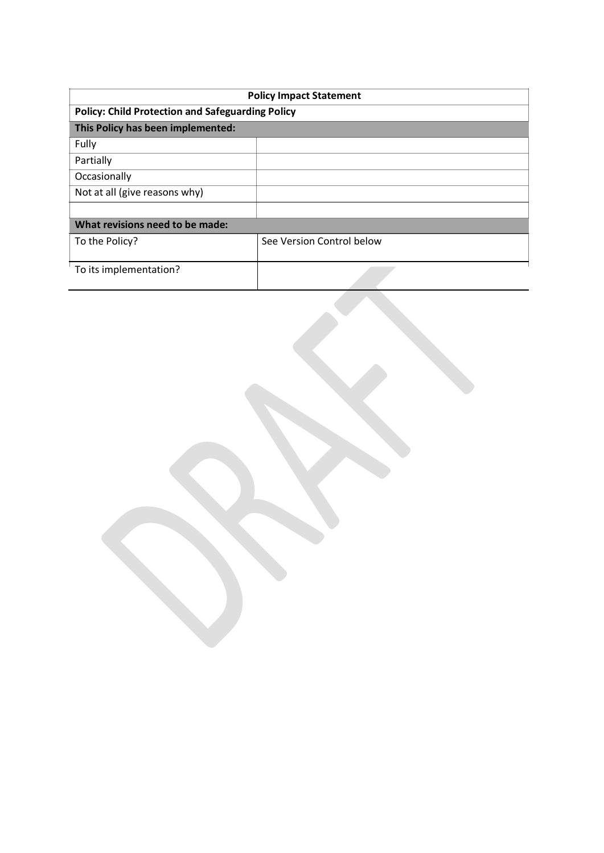| <b>Policy Impact Statement</b>                          |  |  |
|---------------------------------------------------------|--|--|
| <b>Policy: Child Protection and Safeguarding Policy</b> |  |  |
|                                                         |  |  |
|                                                         |  |  |
|                                                         |  |  |
|                                                         |  |  |
|                                                         |  |  |
|                                                         |  |  |
| What revisions need to be made:                         |  |  |
| See Version Control below                               |  |  |
|                                                         |  |  |
|                                                         |  |  |
|                                                         |  |  |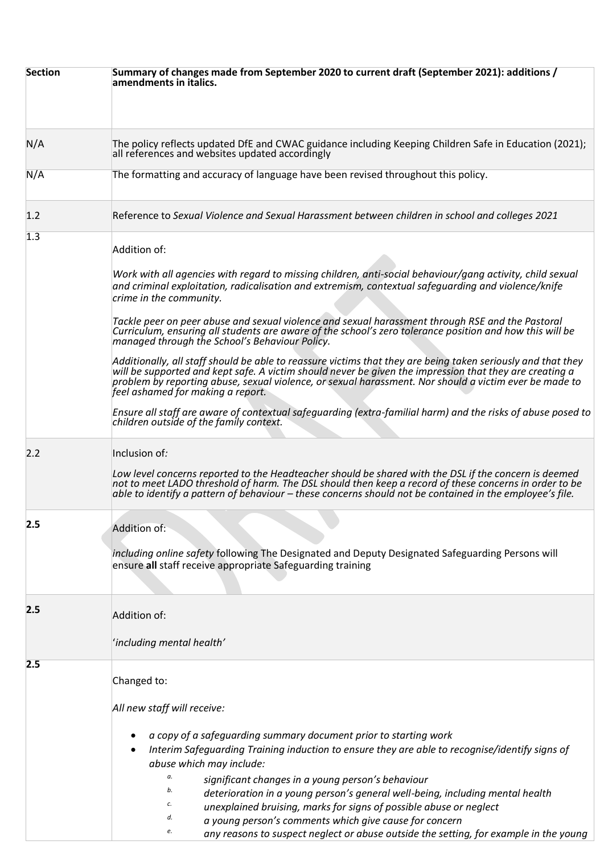| <b>Section</b> | Summary of changes made from September 2020 to current draft (September 2021): additions /<br>amendments in italics.                                                                                                                                                                                                                                                   |
|----------------|------------------------------------------------------------------------------------------------------------------------------------------------------------------------------------------------------------------------------------------------------------------------------------------------------------------------------------------------------------------------|
| N/A            | The policy reflects updated DfE and CWAC guidance including Keeping Children Safe in Education (2021);<br>all references and websites updated accordingly                                                                                                                                                                                                              |
| N/A            | The formatting and accuracy of language have been revised throughout this policy.                                                                                                                                                                                                                                                                                      |
| 1.2            | Reference to Sexual Violence and Sexual Harassment between children in school and colleges 2021                                                                                                                                                                                                                                                                        |
| 1.3            | Addition of:                                                                                                                                                                                                                                                                                                                                                           |
|                | Work with all agencies with regard to missing children, anti-social behaviour/gang activity, child sexual<br>and criminal exploitation, radicalisation and extremism, contextual safequarding and violence/knife<br>crime in the community.                                                                                                                            |
|                | Tackle peer on peer abuse and sexual violence and sexual harassment through RSE and the Pastoral<br>Curriculum, ensuring all students are aware of the school's zero tolerance position and how this will be<br>managed through the School's Behaviour Policy.                                                                                                         |
|                | Additionally, all staff should be able to reassure victims that they are being taken seriously and that they<br>will be supported and kept safe. A victim should never be given the impression that they are creating a<br>problem by reporting abuse, sexual violence, or sexual harassment. Nor should a victim ever be made to<br>feel ashamed for making a report. |
|                | Ensure all staff are aware of contextual safeguarding (extra-familial harm) and the risks of abuse posed to<br>children outside of the family context.                                                                                                                                                                                                                 |
| 2.2            | Inclusion of:                                                                                                                                                                                                                                                                                                                                                          |
|                | Low level concerns reported to the Headteacher should be shared with the DSL if the concern is deemed<br>not to meet LADO threshold of harm. The DSL should then keep a record of these concerns in order to be<br>able to identify a pattern of behaviour – these concerns should not be contained in the employee's file.                                            |
| 2.5            | Addition of:                                                                                                                                                                                                                                                                                                                                                           |
|                | including online safety following The Designated and Deputy Designated Safeguarding Persons will<br>ensure all staff receive appropriate Safeguarding training                                                                                                                                                                                                         |
| 2.5            | Addition of:                                                                                                                                                                                                                                                                                                                                                           |
|                | 'including mental health'                                                                                                                                                                                                                                                                                                                                              |
| 2.5            | Changed to:                                                                                                                                                                                                                                                                                                                                                            |
|                | All new staff will receive:                                                                                                                                                                                                                                                                                                                                            |
|                | a copy of a safeguarding summary document prior to starting work<br>Interim Safeguarding Training induction to ensure they are able to recognise/identify signs of<br>abuse which may include:                                                                                                                                                                         |
|                | а.<br>significant changes in a young person's behaviour<br>b.<br>deterioration in a young person's general well-being, including mental health<br>с.<br>unexplained bruising, marks for signs of possible abuse or neglect<br>d.<br>a young person's comments which give cause for concern                                                                             |
|                | е.<br>any reasons to suspect neglect or abuse outside the setting, for example in the young                                                                                                                                                                                                                                                                            |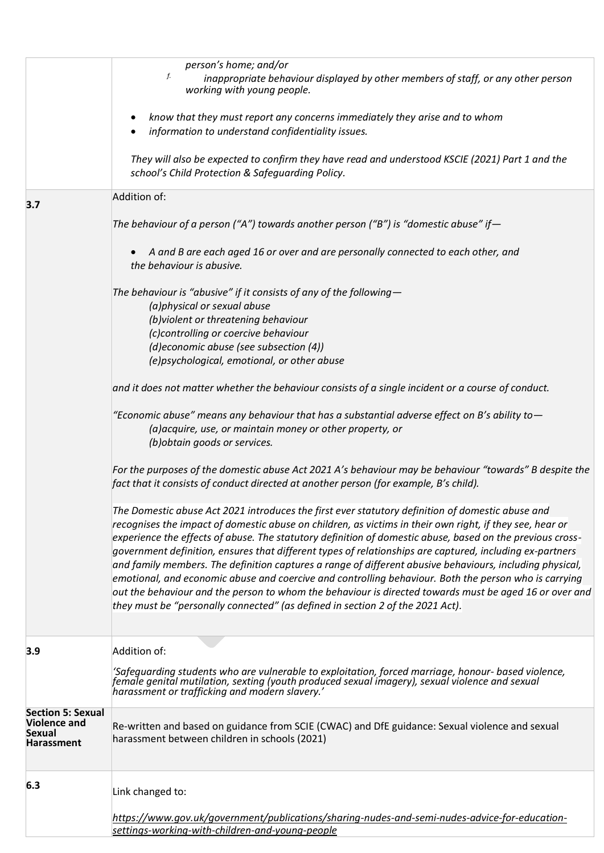|                                                                                       | person's home; and/or<br>f.<br>inappropriate behaviour displayed by other members of staff, or any other person<br>working with young people.                                                                                                                                                                                                                                                                                                                                                                                                                                                                                                                                                                                                                                                                                                          |
|---------------------------------------------------------------------------------------|--------------------------------------------------------------------------------------------------------------------------------------------------------------------------------------------------------------------------------------------------------------------------------------------------------------------------------------------------------------------------------------------------------------------------------------------------------------------------------------------------------------------------------------------------------------------------------------------------------------------------------------------------------------------------------------------------------------------------------------------------------------------------------------------------------------------------------------------------------|
|                                                                                       | know that they must report any concerns immediately they arise and to whom<br>information to understand confidentiality issues.                                                                                                                                                                                                                                                                                                                                                                                                                                                                                                                                                                                                                                                                                                                        |
|                                                                                       | They will also be expected to confirm they have read and understood KSCIE (2021) Part 1 and the<br>school's Child Protection & Safeguarding Policy.                                                                                                                                                                                                                                                                                                                                                                                                                                                                                                                                                                                                                                                                                                    |
| 3.7                                                                                   | Addition of:                                                                                                                                                                                                                                                                                                                                                                                                                                                                                                                                                                                                                                                                                                                                                                                                                                           |
|                                                                                       | The behaviour of a person ("A") towards another person ("B") is "domestic abuse" if $-$                                                                                                                                                                                                                                                                                                                                                                                                                                                                                                                                                                                                                                                                                                                                                                |
|                                                                                       | A and B are each aged 16 or over and are personally connected to each other, and<br>the behaviour is abusive.                                                                                                                                                                                                                                                                                                                                                                                                                                                                                                                                                                                                                                                                                                                                          |
|                                                                                       | The behaviour is "abusive" if it consists of any of the following $-$<br>(a)physical or sexual abuse                                                                                                                                                                                                                                                                                                                                                                                                                                                                                                                                                                                                                                                                                                                                                   |
|                                                                                       | (b) violent or threatening behaviour                                                                                                                                                                                                                                                                                                                                                                                                                                                                                                                                                                                                                                                                                                                                                                                                                   |
|                                                                                       | (c)controlling or coercive behaviour<br>(d)economic abuse (see subsection (4))                                                                                                                                                                                                                                                                                                                                                                                                                                                                                                                                                                                                                                                                                                                                                                         |
|                                                                                       | (e)psychological, emotional, or other abuse                                                                                                                                                                                                                                                                                                                                                                                                                                                                                                                                                                                                                                                                                                                                                                                                            |
|                                                                                       | and it does not matter whether the behaviour consists of a single incident or a course of conduct.                                                                                                                                                                                                                                                                                                                                                                                                                                                                                                                                                                                                                                                                                                                                                     |
|                                                                                       | "Economic abuse" means any behaviour that has a substantial adverse effect on B's ability to $-$<br>(a) acquire, use, or maintain money or other property, or<br>(b) obtain goods or services.                                                                                                                                                                                                                                                                                                                                                                                                                                                                                                                                                                                                                                                         |
|                                                                                       | For the purposes of the domestic abuse Act 2021 A's behaviour may be behaviour "towards" B despite the<br>fact that it consists of conduct directed at another person (for example, B's child).                                                                                                                                                                                                                                                                                                                                                                                                                                                                                                                                                                                                                                                        |
|                                                                                       | The Domestic abuse Act 2021 introduces the first ever statutory definition of domestic abuse and<br>recognises the impact of domestic abuse on children, as victims in their own right, if they see, hear or<br>experience the effects of abuse. The statutory definition of domestic abuse, based on the previous cross-<br>government definition, ensures that different types of relationships are captured, including ex-partners<br>and family members. The definition captures a range of different abusive behaviours, including physical,<br>emotional, and economic abuse and coercive and controlling behaviour. Both the person who is carrying<br>out the behaviour and the person to whom the behaviour is directed towards must be aged 16 or over and<br>they must be "personally connected" (as defined in section 2 of the 2021 Act). |
| 3.9                                                                                   | Addition of:                                                                                                                                                                                                                                                                                                                                                                                                                                                                                                                                                                                                                                                                                                                                                                                                                                           |
|                                                                                       | 'Safeguarding students who are vulnerable to exploitation, forced marriage, honour- based violence,<br>female genital mutilation, sexting (youth produced sexual imagery), sexual violence and sexual<br>harassment or trafficking and modern slavery.'                                                                                                                                                                                                                                                                                                                                                                                                                                                                                                                                                                                                |
| <b>Section 5: Sexual</b><br><b>Violence and</b><br><b>Sexual</b><br><b>Harassment</b> | Re-written and based on guidance from SCIE (CWAC) and DfE guidance: Sexual violence and sexual<br>harassment between children in schools (2021)                                                                                                                                                                                                                                                                                                                                                                                                                                                                                                                                                                                                                                                                                                        |
| 6.3                                                                                   | Link changed to:                                                                                                                                                                                                                                                                                                                                                                                                                                                                                                                                                                                                                                                                                                                                                                                                                                       |
|                                                                                       | https://www.gov.uk/government/publications/sharing-nudes-and-semi-nudes-advice-for-education-<br>settings-working-with-children-and-young-people                                                                                                                                                                                                                                                                                                                                                                                                                                                                                                                                                                                                                                                                                                       |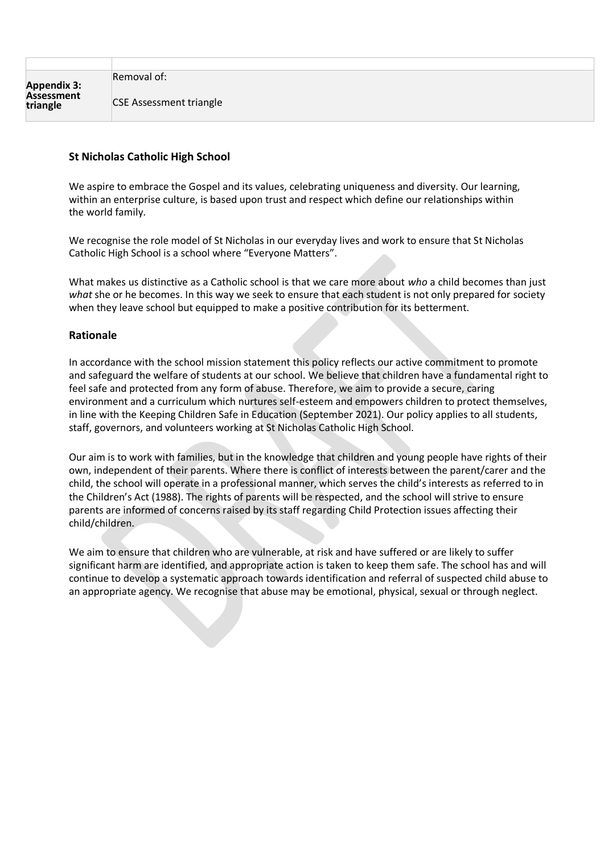Removal of:

CSE Assessment triangle

#### **St Nicholas Catholic High School**

We aspire to embrace the Gospel and its values, celebrating uniqueness and diversity. Our learning, within an enterprise culture, is based upon trust and respect which define our relationships within the world family.

We recognise the role model of St Nicholas in our everyday lives and work to ensure that St Nicholas Catholic High School is a school where "Everyone Matters".

What makes us distinctive as a Catholic school is that we care more about *who* a child becomes than just *what* she or he becomes. In this way we seek to ensure that each student is not only prepared for society when they leave school but equipped to make a positive contribution for its betterment.

#### **Rationale**

In accordance with the school mission statement this policy reflects our active commitment to promote and safeguard the welfare of students at our school. We believe that children have a fundamental right to feel safe and protected from any form of abuse. Therefore, we aim to provide a secure, caring environment and a curriculum which nurtures self-esteem and empowers children to protect themselves, in line with the Keeping Children Safe in Education (September 2021). Our policy applies to all students, staff, governors, and volunteers working at St Nicholas Catholic High School.

Our aim is to work with families, but in the knowledge that children and young people have rights of their own, independent of their parents. Where there is conflict of interests between the parent/carer and the child, the school will operate in a professional manner, which serves the child's interests as referred to in the Children's Act (1988). The rights of parents will be respected, and the school will strive to ensure parents are informed of concerns raised by its staff regarding Child Protection issues affecting their child/children.

We aim to ensure that children who are vulnerable, at risk and have suffered or are likely to suffer significant harm are identified, and appropriate action is taken to keep them safe. The school has and will continue to develop a systematic approach towards identification and referral of suspected child abuse to an appropriate agency. We recognise that abuse may be emotional, physical, sexual or through neglect.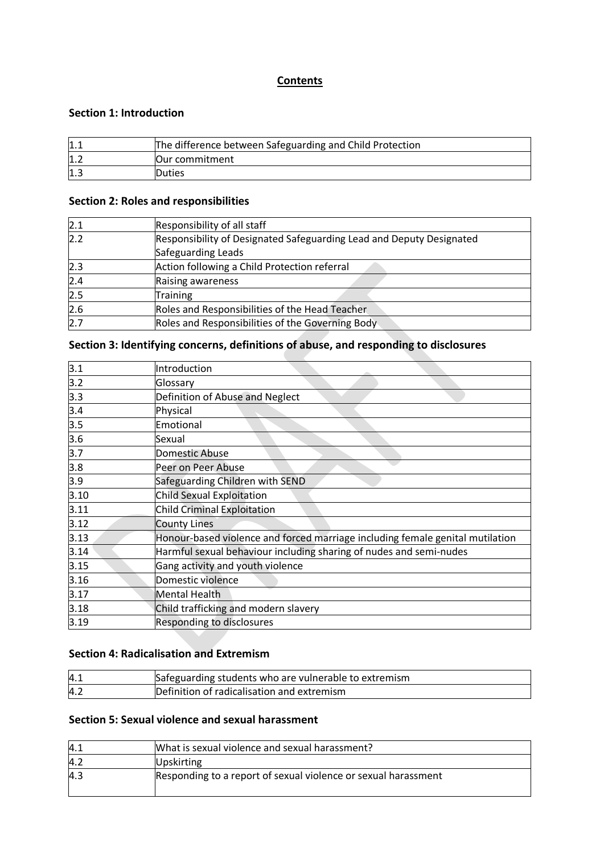# **Contents**

#### **Section 1: Introduction**

| 1.1 | The difference between Safeguarding and Child Protection |  |  |
|-----|----------------------------------------------------------|--|--|
| 1.2 | lOur commitment                                          |  |  |
| 1.3 | <b>Duties</b>                                            |  |  |

#### **Section 2: Roles and responsibilities**

| 2.1 | Responsibility of all staff                                          |  |
|-----|----------------------------------------------------------------------|--|
| 2.2 | Responsibility of Designated Safeguarding Lead and Deputy Designated |  |
|     | Safeguarding Leads                                                   |  |
| 2.3 | Action following a Child Protection referral                         |  |
| 2.4 | Raising awareness                                                    |  |
| 2.5 | <b>Training</b>                                                      |  |
| 2.6 | Roles and Responsibilities of the Head Teacher                       |  |
| 2.7 | Roles and Responsibilities of the Governing Body                     |  |

# **Section 3: Identifying concerns, definitions of abuse, and responding to disclosures**

| 3.1              | Introduction                                                                  |
|------------------|-------------------------------------------------------------------------------|
| 3.2              | Glossary                                                                      |
| 3.3              | Definition of Abuse and Neglect                                               |
| 3.4              | Physical                                                                      |
| $\overline{3.5}$ | Emotional                                                                     |
| 3.6              | Sexual                                                                        |
| 3.7              | Domestic Abuse                                                                |
| 3.8              | Peer on Peer Abuse                                                            |
| 3.9              | Safeguarding Children with SEND                                               |
| 3.10             | Child Sexual Exploitation                                                     |
| 3.11             | Child Criminal Exploitation                                                   |
| 3.12             | County Lines                                                                  |
| 3.13             | Honour-based violence and forced marriage including female genital mutilation |
| 3.14             | Harmful sexual behaviour including sharing of nudes and semi-nudes            |
| 3.15             | Gang activity and youth violence                                              |
| 3.16             | Domestic violence                                                             |
| 3.17             | Mental Health                                                                 |
| 3.18             | Child trafficking and modern slavery                                          |
| 3.19             | Responding to disclosures                                                     |
|                  |                                                                               |

# **Section 4: Radicalisation and Extremism**

| 4.1 | Safeguarding students who are vulnerable to extremism |
|-----|-------------------------------------------------------|
| 4.2 | Definition of radicalisation and extremism            |

### **Section 5: Sexual violence and sexual harassment**

| 4.1 | What is sexual violence and sexual harassment?                 |
|-----|----------------------------------------------------------------|
| 4.2 | <b>Upskirting</b>                                              |
| 4.3 | Responding to a report of sexual violence or sexual harassment |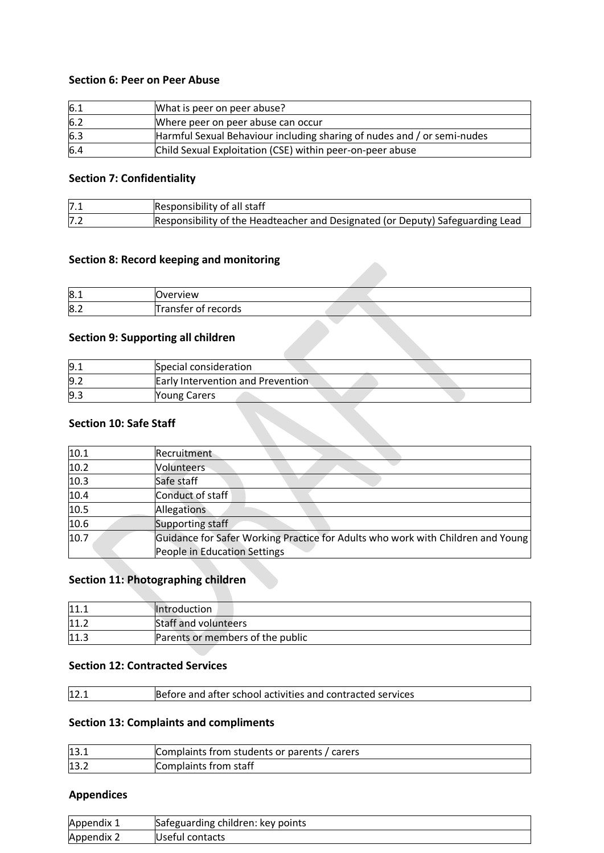#### **Section 6: Peer on Peer Abuse**

| 6.1 | What is peer on peer abuse?                                             |
|-----|-------------------------------------------------------------------------|
| 6.2 | Where peer on peer abuse can occur                                      |
| 6.3 | Harmful Sexual Behaviour including sharing of nudes and / or semi-nudes |
| 6.4 | Child Sexual Exploitation (CSE) within peer-on-peer abuse               |

#### **Section 7: Confidentiality**

| 7.1 | Responsibility of all staff                                                    |
|-----|--------------------------------------------------------------------------------|
| 7.2 | Responsibility of the Headteacher and Designated (or Deputy) Safeguarding Lead |

# **Section 8: Record keeping and monitoring**

| 8.1 | <b>Overview</b>                      |  |
|-----|--------------------------------------|--|
| 8.2 | records<br><b>ranster</b><br>ΩŤ<br>◡ |  |

#### **Section 9: Supporting all children**

| 9.1 | Special consideration                    |  |
|-----|------------------------------------------|--|
| 9.2 | <b>Early Intervention and Prevention</b> |  |
| 9.3 | <b>Young Carers</b>                      |  |

#### **Section 10: Safe Staff**

| 10.1 | Recruitment                                                                     |
|------|---------------------------------------------------------------------------------|
| 10.2 | Volunteers                                                                      |
| 10.3 | Safe staff                                                                      |
| 10.4 | Conduct of staff                                                                |
| 10.5 | Allegations                                                                     |
| 10.6 | Supporting staff                                                                |
| 10.7 | Guidance for Safer Working Practice for Adults who work with Children and Young |
|      | People in Education Settings                                                    |

# **Section 11: Photographing children**

| 11.  | <b>Introduction</b>              |
|------|----------------------------------|
| 11.2 | <b>Staff and volunteers</b>      |
| 11.3 | Parents or members of the public |

#### **Section 12: Contracted Services**

| 12.7<br>Before and after school activities and contracted services |  |
|--------------------------------------------------------------------|--|
|--------------------------------------------------------------------|--|

#### **Section 13: Complaints and compliments**

| 13.7 | Complaints from students or parents / carers |
|------|----------------------------------------------|
| 13.2 | Complaints from staff                        |

# **Appendices**

| Appendix 1 | Safeguarding children: key points |
|------------|-----------------------------------|
| Appendix 2 | Useful contacts                   |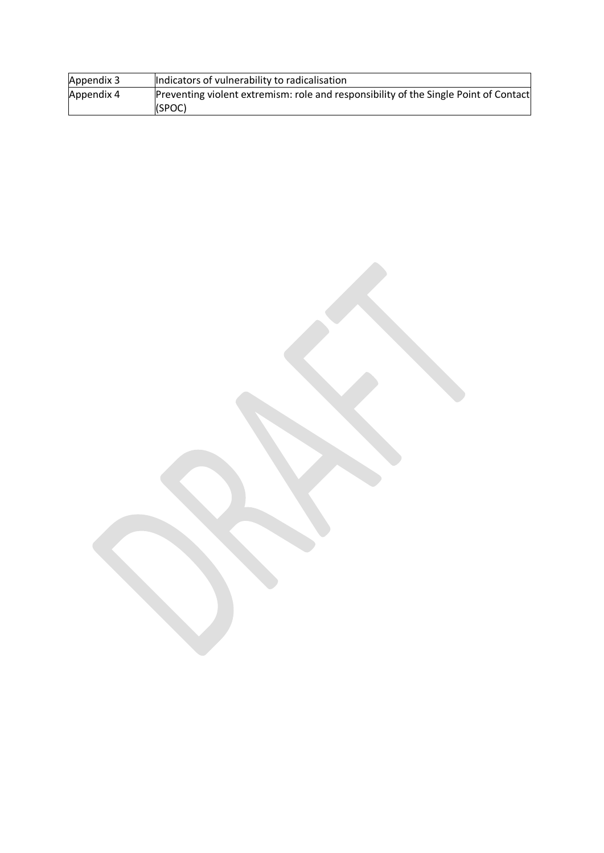| Appendix 3 | Indicators of vulnerability to radicalisation                                        |
|------------|--------------------------------------------------------------------------------------|
| Appendix 4 | Preventing violent extremism: role and responsibility of the Single Point of Contact |
|            | (SPOC)                                                                               |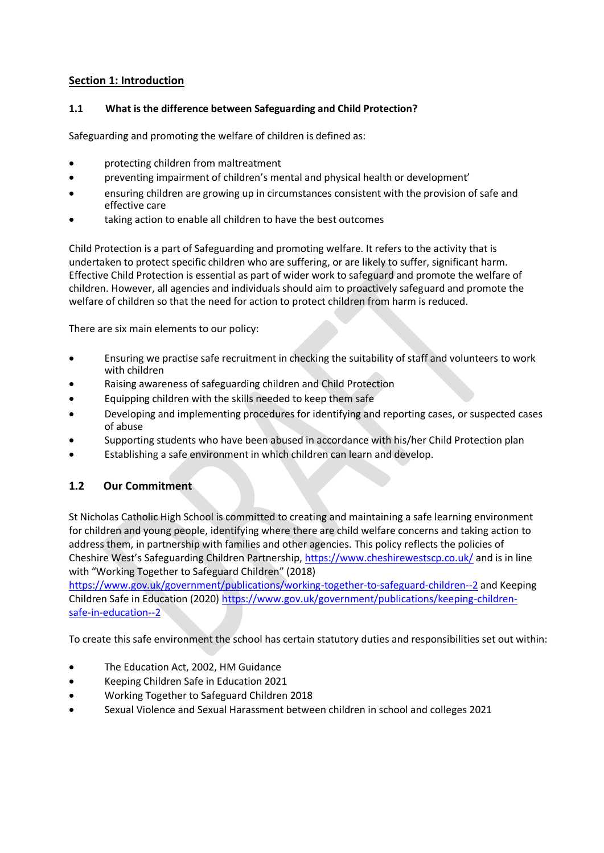# **Section 1: Introduction**

#### **1.1 What is the difference between Safeguarding and Child Protection?**

Safeguarding and promoting the welfare of children is defined as:

- protecting children from maltreatment
- preventing impairment of children's mental and physical health or development'
- ensuring children are growing up in circumstances consistent with the provision of safe and effective care
- taking action to enable all children to have the best outcomes

Child Protection is a part of Safeguarding and promoting welfare. It refers to the activity that is undertaken to protect specific children who are suffering, or are likely to suffer, significant harm. Effective Child Protection is essential as part of wider work to safeguard and promote the welfare of children. However, all agencies and individuals should aim to proactively safeguard and promote the welfare of children so that the need for action to protect children from harm is reduced.

There are six main elements to our policy:

- Ensuring we practise safe recruitment in checking the suitability of staff and volunteers to work with children
- Raising awareness of safeguarding children and Child Protection
- Equipping children with the skills needed to keep them safe
- Developing and implementing procedures for identifying and reporting cases, or suspected cases of abuse
- Supporting students who have been abused in accordance with his/her Child Protection plan
- Establishing a safe environment in which children can learn and develop.

# **1.2 Our Commitment**

St Nicholas Catholic High School is committed to creating and maintaining a safe learning environment for children and young people, identifying where there are child welfare concerns and taking action to address them, in partnership with families and other agencies. This policy reflects the policies of Cheshire West's Safeguarding Children Partnership[, https://www.cheshirewestscp.co.uk/](https://www.cheshirewestscp.co.uk/) and is in line with "Working Together to Safeguard Children" (2018)

<https://www.gov.uk/government/publications/working-together-to-safeguard-children--2> and Keeping Children Safe in Education (2020) [https://www.gov.uk/government/publications/keeping-children](https://www.gov.uk/government/publications/keeping-children-safe-in-education--2)[safe-in-education--2](https://www.gov.uk/government/publications/keeping-children-safe-in-education--2)

To create this safe environment the school has certain statutory duties and responsibilities set out within:

- The Education Act, 2002, HM Guidance
- Keeping Children Safe in Education 2021
- Working Together to Safeguard Children 2018
- Sexual Violence and Sexual Harassment between children in school and colleges 2021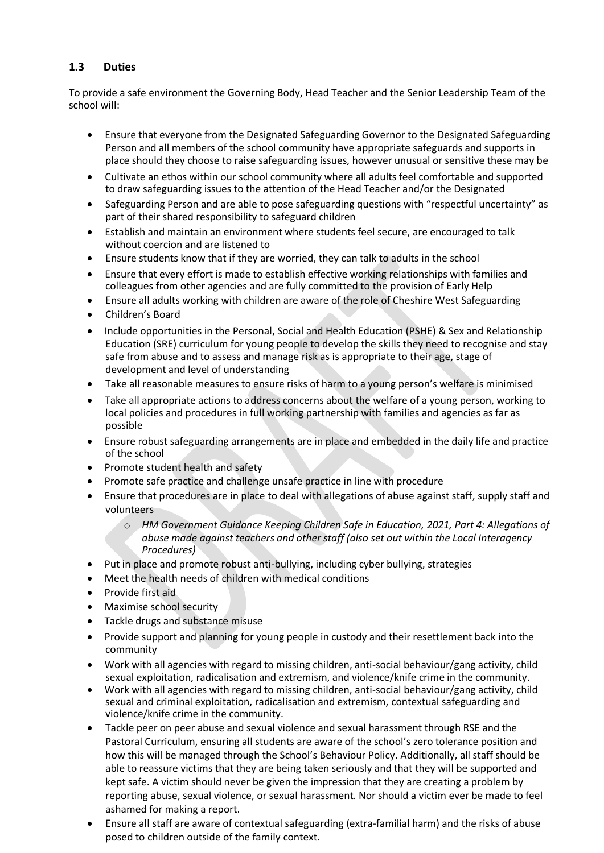# **1.3 Duties**

To provide a safe environment the Governing Body, Head Teacher and the Senior Leadership Team of the school will:

- Ensure that everyone from the Designated Safeguarding Governor to the Designated Safeguarding Person and all members of the school community have appropriate safeguards and supports in place should they choose to raise safeguarding issues, however unusual or sensitive these may be
- Cultivate an ethos within our school community where all adults feel comfortable and supported to draw safeguarding issues to the attention of the Head Teacher and/or the Designated
- Safeguarding Person and are able to pose safeguarding questions with "respectful uncertainty" as part of their shared responsibility to safeguard children
- Establish and maintain an environment where students feel secure, are encouraged to talk without coercion and are listened to
- Ensure students know that if they are worried, they can talk to adults in the school
- Ensure that every effort is made to establish effective working relationships with families and colleagues from other agencies and are fully committed to the provision of Early Help
- Ensure all adults working with children are aware of the role of Cheshire West Safeguarding
- Children's Board
- Include opportunities in the Personal, Social and Health Education (PSHE) & Sex and Relationship Education (SRE) curriculum for young people to develop the skills they need to recognise and stay safe from abuse and to assess and manage risk as is appropriate to their age, stage of development and level of understanding
- Take all reasonable measures to ensure risks of harm to a young person's welfare is minimised
- Take all appropriate actions to address concerns about the welfare of a young person, working to local policies and procedures in full working partnership with families and agencies as far as possible
- Ensure robust safeguarding arrangements are in place and embedded in the daily life and practice of the school
- Promote student health and safety
- Promote safe practice and challenge unsafe practice in line with procedure
- Ensure that procedures are in place to deal with allegations of abuse against staff, supply staff and volunteers
	- o *HM Government Guidance Keeping Children Safe in Education, 2021, Part 4: Allegations of abuse made against teachers and other staff (also set out within the Local Interagency Procedures)*
- Put in place and promote robust anti-bullying, including cyber bullying, strategies
- Meet the health needs of children with medical conditions
- Provide first aid
- Maximise school security
- Tackle drugs and substance misuse
- Provide support and planning for young people in custody and their resettlement back into the community
- Work with all agencies with regard to missing children, anti-social behaviour/gang activity, child sexual exploitation, radicalisation and extremism, and violence/knife crime in the community.
- Work with all agencies with regard to missing children, anti-social behaviour/gang activity, child sexual and criminal exploitation, radicalisation and extremism, contextual safeguarding and violence/knife crime in the community.
- Tackle peer on peer abuse and sexual violence and sexual harassment through RSE and the Pastoral Curriculum, ensuring all students are aware of the school's zero tolerance position and how this will be managed through the School's Behaviour Policy. Additionally, all staff should be able to reassure victims that they are being taken seriously and that they will be supported and kept safe. A victim should never be given the impression that they are creating a problem by reporting abuse, sexual violence, or sexual harassment. Nor should a victim ever be made to feel ashamed for making a report.
- Ensure all staff are aware of contextual safeguarding (extra-familial harm) and the risks of abuse posed to children outside of the family context.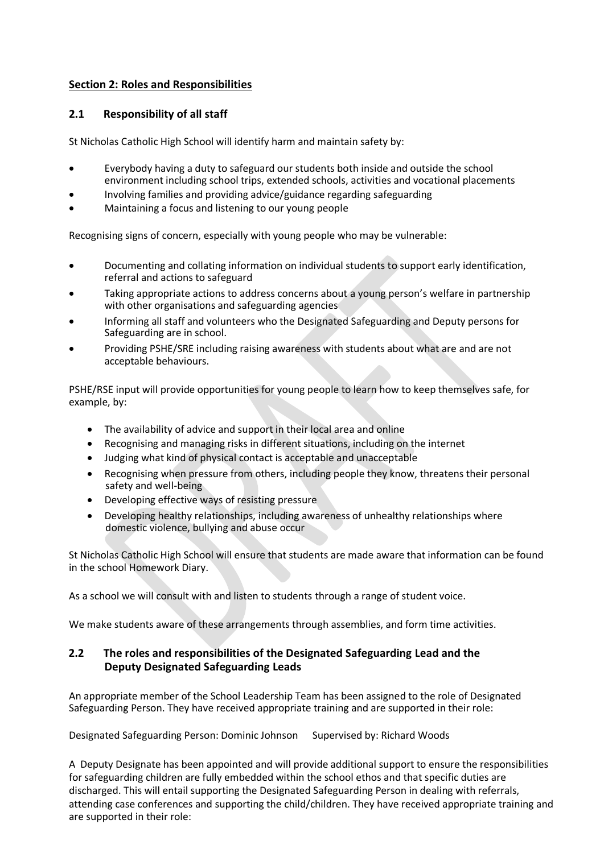# **Section 2: Roles and Responsibilities**

### **2.1 Responsibility of all staff**

St Nicholas Catholic High School will identify harm and maintain safety by:

- Everybody having a duty to safeguard our students both inside and outside the school environment including school trips, extended schools, activities and vocational placements
- Involving families and providing advice/guidance regarding safeguarding
- Maintaining a focus and listening to our young people

Recognising signs of concern, especially with young people who may be vulnerable:

- Documenting and collating information on individual students to support early identification, referral and actions to safeguard
- Taking appropriate actions to address concerns about a young person's welfare in partnership with other organisations and safeguarding agencies
- Informing all staff and volunteers who the Designated Safeguarding and Deputy persons for Safeguarding are in school.
- Providing PSHE/SRE including raising awareness with students about what are and are not acceptable behaviours.

PSHE/RSE input will provide opportunities for young people to learn how to keep themselves safe, for example, by:

- The availability of advice and support in their local area and online
- Recognising and managing risks in different situations, including on the internet
- Judging what kind of physical contact is acceptable and unacceptable
- Recognising when pressure from others, including people they know, threatens their personal safety and well-being
- Developing effective ways of resisting pressure
- Developing healthy relationships, including awareness of unhealthy relationships where domestic violence, bullying and abuse occur

St Nicholas Catholic High School will ensure that students are made aware that information can be found in the school Homework Diary.

As a school we will consult with and listen to students through a range of student voice.

We make students aware of these arrangements through assemblies, and form time activities.

# **2.2 The roles and responsibilities of the Designated Safeguarding Lead and the Deputy Designated Safeguarding Leads**

An appropriate member of the School Leadership Team has been assigned to the role of Designated Safeguarding Person. They have received appropriate training and are supported in their role:

Designated Safeguarding Person: Dominic Johnson Supervised by: Richard Woods

A Deputy Designate has been appointed and will provide additional support to ensure the responsibilities for safeguarding children are fully embedded within the school ethos and that specific duties are discharged. This will entail supporting the Designated Safeguarding Person in dealing with referrals, attending case conferences and supporting the child/children. They have received appropriate training and are supported in their role: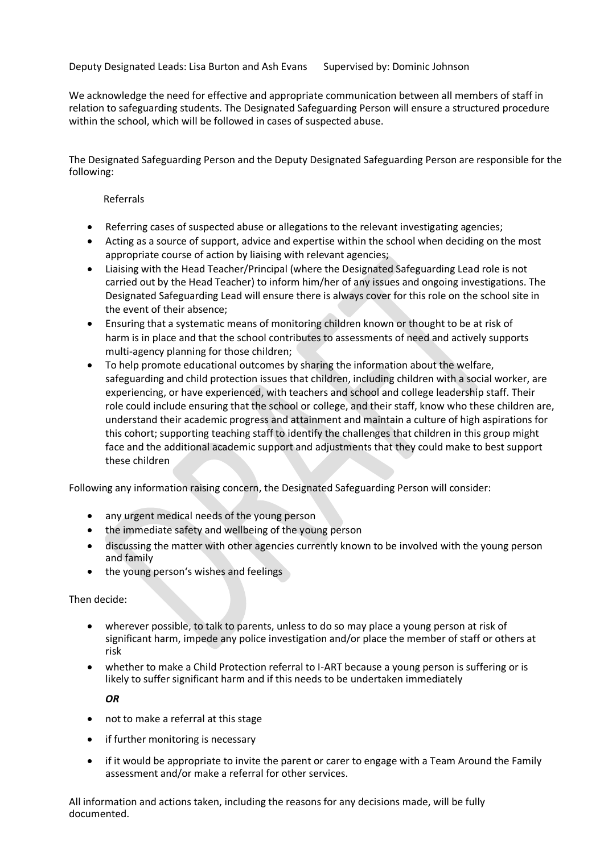Deputy Designated Leads: Lisa Burton and Ash Evans Supervised by: Dominic Johnson

We acknowledge the need for effective and appropriate communication between all members of staff in relation to safeguarding students. The Designated Safeguarding Person will ensure a structured procedure within the school, which will be followed in cases of suspected abuse.

The Designated Safeguarding Person and the Deputy Designated Safeguarding Person are responsible for the following:

#### Referrals

- Referring cases of suspected abuse or allegations to the relevant investigating agencies;
- Acting as a source of support, advice and expertise within the school when deciding on the most appropriate course of action by liaising with relevant agencies;
- Liaising with the Head Teacher/Principal (where the Designated Safeguarding Lead role is not carried out by the Head Teacher) to inform him/her of any issues and ongoing investigations. The Designated Safeguarding Lead will ensure there is always cover for this role on the school site in the event of their absence;
- Ensuring that a systematic means of monitoring children known or thought to be at risk of harm is in place and that the school contributes to assessments of need and actively supports multi-agency planning for those children;
- To help promote educational outcomes by sharing the information about the welfare, safeguarding and child protection issues that children, including children with a social worker, are experiencing, or have experienced, with teachers and school and college leadership staff. Their role could include ensuring that the school or college, and their staff, know who these children are, understand their academic progress and attainment and maintain a culture of high aspirations for this cohort; supporting teaching staff to identify the challenges that children in this group might face and the additional academic support and adjustments that they could make to best support these children

Following any information raising concern, the Designated Safeguarding Person will consider:

- any urgent medical needs of the young person
- the immediate safety and wellbeing of the young person
- discussing the matter with other agencies currently known to be involved with the young person and family
- the young person's wishes and feelings

Then decide:

- wherever possible, to talk to parents, unless to do so may place a young person at risk of significant harm, impede any police investigation and/or place the member of staff or others at risk
- whether to make a Child Protection referral to I-ART because a young person is suffering or is likely to suffer significant harm and if this needs to be undertaken immediately

*OR*

- not to make a referral at this stage
- if further monitoring is necessary
- if it would be appropriate to invite the parent or carer to engage with a Team Around the Family assessment and/or make a referral for other services.

All information and actions taken, including the reasons for any decisions made, will be fully documented.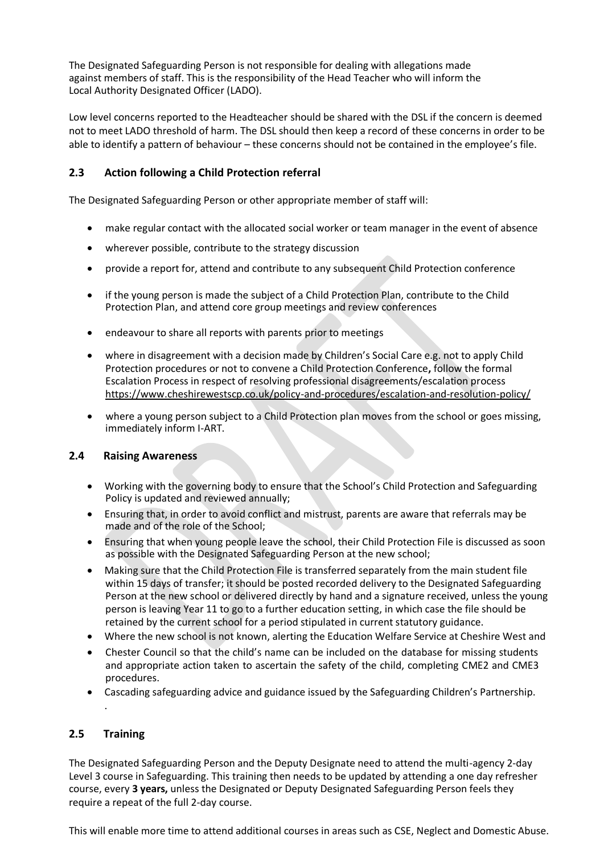The Designated Safeguarding Person is not responsible for dealing with allegations made against members of staff. This is the responsibility of the Head Teacher who will inform the Local Authority Designated Officer (LADO).

Low level concerns reported to the Headteacher should be shared with the DSL if the concern is deemed not to meet LADO threshold of harm. The DSL should then keep a record of these concerns in order to be able to identify a pattern of behaviour – these concerns should not be contained in the employee's file.

# **2.3 Action following a Child Protection referral**

The Designated Safeguarding Person or other appropriate member of staff will:

- make regular contact with the allocated social worker or team manager in the event of absence
- wherever possible, contribute to the strategy discussion
- provide a report for, attend and contribute to any subsequent Child Protection conference
- if the young person is made the subject of a Child Protection Plan, contribute to the Child Protection Plan, and attend core group meetings and review conferences
- endeavour to share all reports with parents prior to meetings
- where in disagreement with a decision made by Children's Social Care e.g. not to apply Child Protection procedures or not to convene a Child Protection Conference**,** follow the formal Escalation Process in respect of resolving professional disagreements/escalation process <https://www.cheshirewestscp.co.uk/policy-and-procedures/escalation-and-resolution-policy/>
- where a young person subject to a Child Protection plan moves from the school or goes missing, immediately inform I-ART.

#### **2.4 Raising Awareness**

- Working with the governing body to ensure that the School's Child Protection and Safeguarding Policy is updated and reviewed annually;
- Ensuring that, in order to avoid conflict and mistrust, parents are aware that referrals may be made and of the role of the School;
- Ensuring that when young people leave the school, their Child Protection File is discussed as soon as possible with the Designated Safeguarding Person at the new school;
- Making sure that the Child Protection File is transferred separately from the main student file within 15 days of transfer; it should be posted recorded delivery to the Designated Safeguarding Person at the new school or delivered directly by hand and a signature received, unless the young person is leaving Year 11 to go to a further education setting, in which case the file should be retained by the current school for a period stipulated in current statutory guidance.
- Where the new school is not known, alerting the Education Welfare Service at Cheshire West and
- Chester Council so that the child's name can be included on the database for missing students and appropriate action taken to ascertain the safety of the child, completing CME2 and CME3 procedures.
- Cascading safeguarding advice and guidance issued by the Safeguarding Children's Partnership.

#### **2.5 Training**

.

The Designated Safeguarding Person and the Deputy Designate need to attend the multi-agency 2-day Level 3 course in Safeguarding. This training then needs to be updated by attending a one day refresher course, every **3 years,** unless the Designated or Deputy Designated Safeguarding Person feels they require a repeat of the full 2-day course.

This will enable more time to attend additional courses in areas such as CSE, Neglect and Domestic Abuse.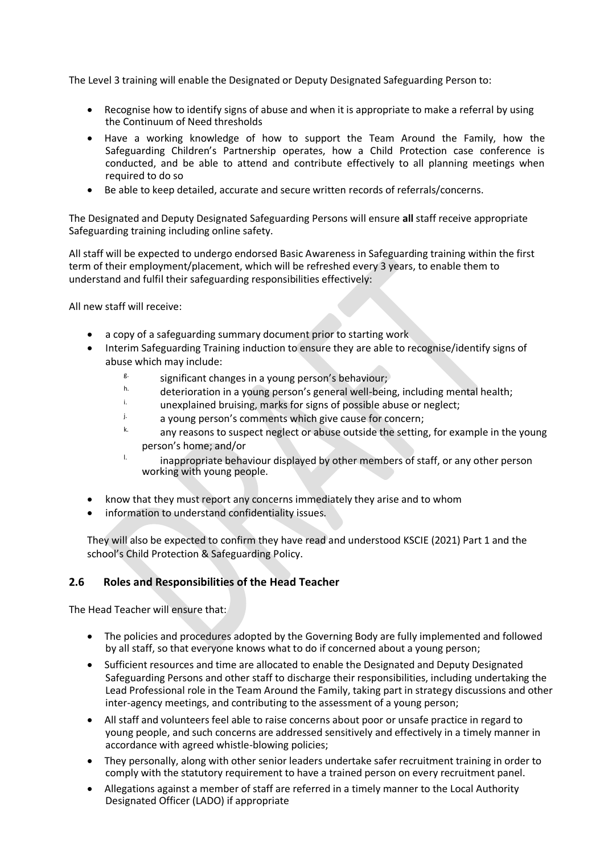The Level 3 training will enable the Designated or Deputy Designated Safeguarding Person to:

- Recognise how to identify signs of abuse and when it is appropriate to make a referral by using the Continuum of Need thresholds
- Have a working knowledge of how to support the Team Around the Family, how the Safeguarding Children's Partnership operates, how a Child Protection case conference is conducted, and be able to attend and contribute effectively to all planning meetings when required to do so
- Be able to keep detailed, accurate and secure written records of referrals/concerns.

The Designated and Deputy Designated Safeguarding Persons will ensure **all** staff receive appropriate Safeguarding training including online safety.

All staff will be expected to undergo endorsed Basic Awareness in Safeguarding training within the first term of their employment/placement, which will be refreshed every 3 years, to enable them to understand and fulfil their safeguarding responsibilities effectively:

All new staff will receive:

- a copy of a safeguarding summary document prior to starting work
- Interim Safeguarding Training induction to ensure they are able to recognise/identify signs of abuse which may include:
	- $\frac{g}{g}$  significant changes in a young person's behaviour;
	- $h.$  deterioration in a young person's general well-being, including mental health;
	- $\frac{1}{2}$  unexplained bruising, marks for signs of possible abuse or neglect;
	- $\mu$  a young person's comments which give cause for concern;
	- any reasons to suspect neglect or abuse outside the setting, for example in the young person's home; and/or
	- $\mu$  inappropriate behaviour displayed by other members of staff, or any other person working with young people.
- know that they must report any concerns immediately they arise and to whom
- information to understand confidentiality issues.

They will also be expected to confirm they have read and understood KSCIE (2021) Part 1 and the school's Child Protection & Safeguarding Policy.

#### **2.6 Roles and Responsibilities of the Head Teacher**

The Head Teacher will ensure that:

- The policies and procedures adopted by the Governing Body are fully implemented and followed by all staff, so that everyone knows what to do if concerned about a young person;
- Sufficient resources and time are allocated to enable the Designated and Deputy Designated Safeguarding Persons and other staff to discharge their responsibilities, including undertaking the Lead Professional role in the Team Around the Family, taking part in strategy discussions and other inter-agency meetings, and contributing to the assessment of a young person;
- All staff and volunteers feel able to raise concerns about poor or unsafe practice in regard to young people, and such concerns are addressed sensitively and effectively in a timely manner in accordance with agreed whistle-blowing policies;
- They personally, along with other senior leaders undertake safer recruitment training in order to comply with the statutory requirement to have a trained person on every recruitment panel.
- Allegations against a member of staff are referred in a timely manner to the Local Authority Designated Officer (LADO) if appropriate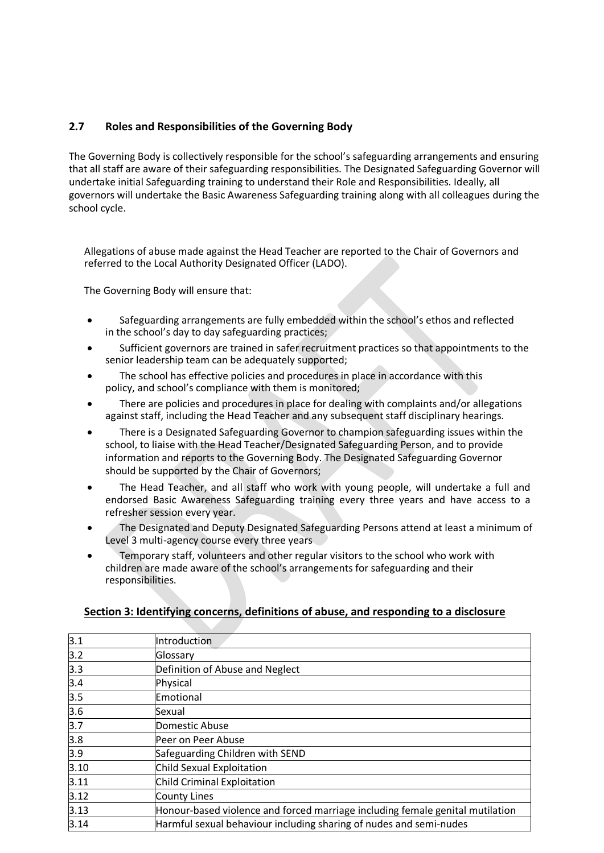# **2.7 Roles and Responsibilities of the Governing Body**

The Governing Body is collectively responsible for the school's safeguarding arrangements and ensuring that all staff are aware of their safeguarding responsibilities. The Designated Safeguarding Governor will undertake initial Safeguarding training to understand their Role and Responsibilities. Ideally, all governors will undertake the Basic Awareness Safeguarding training along with all colleagues during the school cycle.

Allegations of abuse made against the Head Teacher are reported to the Chair of Governors and referred to the Local Authority Designated Officer (LADO).

The Governing Body will ensure that:

- Safeguarding arrangements are fully embedded within the school's ethos and reflected in the school's day to day safeguarding practices;
- Sufficient governors are trained in safer recruitment practices so that appointments to the senior leadership team can be adequately supported;
- The school has effective policies and procedures in place in accordance with this policy, and school's compliance with them is monitored;
- There are policies and procedures in place for dealing with complaints and/or allegations against staff, including the Head Teacher and any subsequent staff disciplinary hearings.
- There is a Designated Safeguarding Governor to champion safeguarding issues within the school, to liaise with the Head Teacher/Designated Safeguarding Person, and to provide information and reports to the Governing Body. The Designated Safeguarding Governor should be supported by the Chair of Governors;
- The Head Teacher, and all staff who work with young people, will undertake a full and endorsed Basic Awareness Safeguarding training every three years and have access to a refresher session every year.
- The Designated and Deputy Designated Safeguarding Persons attend at least a minimum of Level 3 multi-agency course every three years
- Temporary staff, volunteers and other regular visitors to the school who work with children are made aware of the school's arrangements for safeguarding and their responsibilities.

| 3.1  | Introduction                                                                  |
|------|-------------------------------------------------------------------------------|
| 3.2  | Glossary                                                                      |
| 3.3  | Definition of Abuse and Neglect                                               |
| 3.4  | Physical                                                                      |
| 3.5  | Emotional                                                                     |
| 3.6  | Sexual                                                                        |
| 3.7  | Domestic Abuse                                                                |
| 3.8  | Peer on Peer Abuse                                                            |
| 3.9  | Safeguarding Children with SEND                                               |
| 3.10 | Child Sexual Exploitation                                                     |
| 3.11 | Child Criminal Exploitation                                                   |
| 3.12 | County Lines                                                                  |
| 3.13 | Honour-based violence and forced marriage including female genital mutilation |
| 3.14 | Harmful sexual behaviour including sharing of nudes and semi-nudes            |

#### **Section 3: Identifying concerns, definitions of abuse, and responding to a disclosure**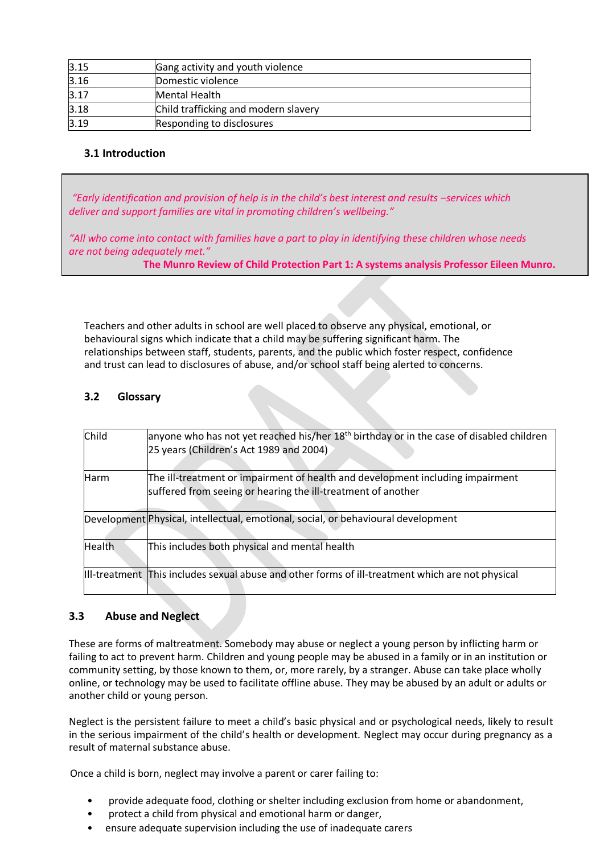| 3.15 | Gang activity and youth violence     |
|------|--------------------------------------|
| 3.16 | Domestic violence                    |
| 3.17 | Mental Health                        |
| 3.18 | Child trafficking and modern slavery |
| 3.19 | Responding to disclosures            |

# **3.1 Introduction**

*"Early identification and provision of help is in the child's best interest and results –services which deliver and support families are vital in promoting children's wellbeing."*

*"All who come into contact with families have a part to play in identifying these children whose needs are not being adequately met."*

**The Munro Review of Child Protection Part 1: A systems analysis Professor Eileen Munro.**

Teachers and other adults in school are well placed to observe any physical, emotional, or behavioural signs which indicate that a child may be suffering significant harm. The relationships between staff, students, parents, and the public which foster respect, confidence and trust can lead to disclosures of abuse, and/or school staff being alerted to concerns.

# **3.2 Glossary**

| Child         | anyone who has not yet reached his/her $18th$ birthday or in the case of disabled children<br>25 years (Children's Act 1989 and 2004)          |
|---------------|------------------------------------------------------------------------------------------------------------------------------------------------|
| <b>Harm</b>   | The ill-treatment or impairment of health and development including impairment<br>suffered from seeing or hearing the ill-treatment of another |
|               | Development Physical, intellectual, emotional, social, or behavioural development                                                              |
| <b>Health</b> | This includes both physical and mental health                                                                                                  |
|               | III-treatment This includes sexual abuse and other forms of ill-treatment which are not physical                                               |

#### **3.3 Abuse and Neglect**

These are forms of maltreatment. Somebody may abuse or neglect a young person by inflicting harm or failing to act to prevent harm. Children and young people may be abused in a family or in an institution or community setting, by those known to them, or, more rarely, by a stranger. Abuse can take place wholly online, or technology may be used to facilitate offline abuse. They may be abused by an adult or adults or another child or young person.

Neglect is the persistent failure to meet a child's basic physical and or psychological needs, likely to result in the serious impairment of the child's health or development. Neglect may occur during pregnancy as a result of maternal substance abuse.

Once a child is born, neglect may involve a parent or carer failing to:

- provide adequate food, clothing or shelter including exclusion from home or abandonment,
- protect a child from physical and emotional harm or danger,
- ensure adequate supervision including the use of inadequate carers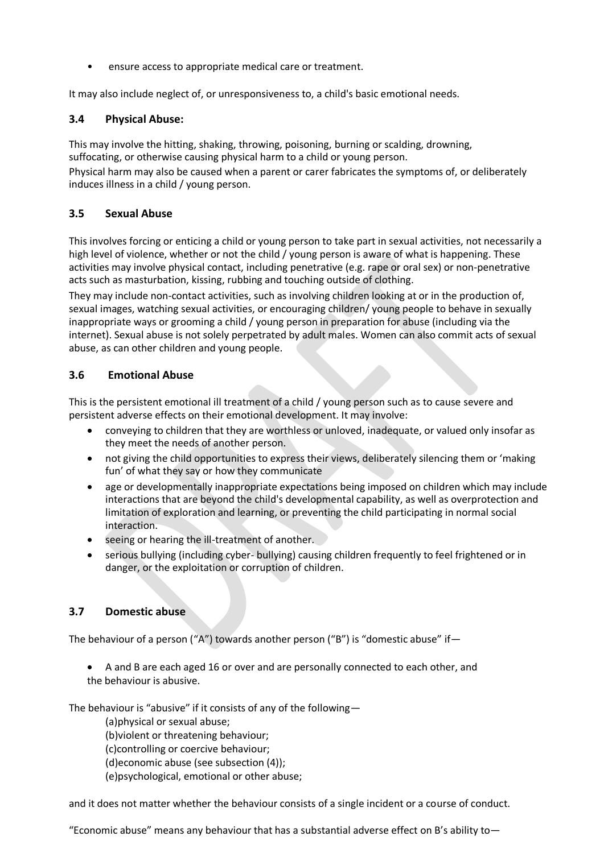ensure access to appropriate medical care or treatment.

It may also include neglect of, or unresponsiveness to, a child's basic emotional needs.

#### **3.4 Physical Abuse:**

This may involve the hitting, shaking, throwing, poisoning, burning or scalding, drowning, suffocating, or otherwise causing physical harm to a child or young person.

Physical harm may also be caused when a parent or carer fabricates the symptoms of, or deliberately induces illness in a child / young person.

#### **3.5 Sexual Abuse**

This involves forcing or enticing a child or young person to take part in sexual activities, not necessarily a high level of violence, whether or not the child / young person is aware of what is happening. These activities may involve physical contact, including penetrative (e.g. rape or oral sex) or non-penetrative acts such as masturbation, kissing, rubbing and touching outside of clothing.

They may include non-contact activities, such as involving children looking at or in the production of, sexual images, watching sexual activities, or encouraging children/ young people to behave in sexually inappropriate ways or grooming a child / young person in preparation for abuse (including via the internet). Sexual abuse is not solely perpetrated by adult males. Women can also commit acts of sexual abuse, as can other children and young people.

# **3.6 Emotional Abuse**

This is the persistent emotional ill treatment of a child / young person such as to cause severe and persistent adverse effects on their emotional development. It may involve:

- conveying to children that they are worthless or unloved, inadequate, or valued only insofar as they meet the needs of another person.
- not giving the child opportunities to express their views, deliberately silencing them or 'making fun' of what they say or how they communicate
- age or developmentally inappropriate expectations being imposed on children which may include interactions that are beyond the child's developmental capability, as well as overprotection and limitation of exploration and learning, or preventing the child participating in normal social interaction.
- seeing or hearing the ill-treatment of another.
- serious bullying (including cyber- bullying) causing children frequently to feel frightened or in danger, or the exploitation or corruption of children.

# **3.7 Domestic abuse**

The behaviour of a person ("A") towards another person ("B") is "domestic abuse" if  $-$ 

• A and B are each aged 16 or over and are personally connected to each other, and the behaviour is abusive.

The behaviour is "abusive" if it consists of any of the following—

(a)physical or sexual abuse; (b)violent or threatening behaviour; (c)controlling or coercive behaviour; (d)economic abuse (see subsection (4)); (e)psychological, emotional or other abuse;

and it does not matter whether the behaviour consists of a single incident or a course of conduct.

"Economic abuse" means any behaviour that has a substantial adverse effect on B's ability to $-$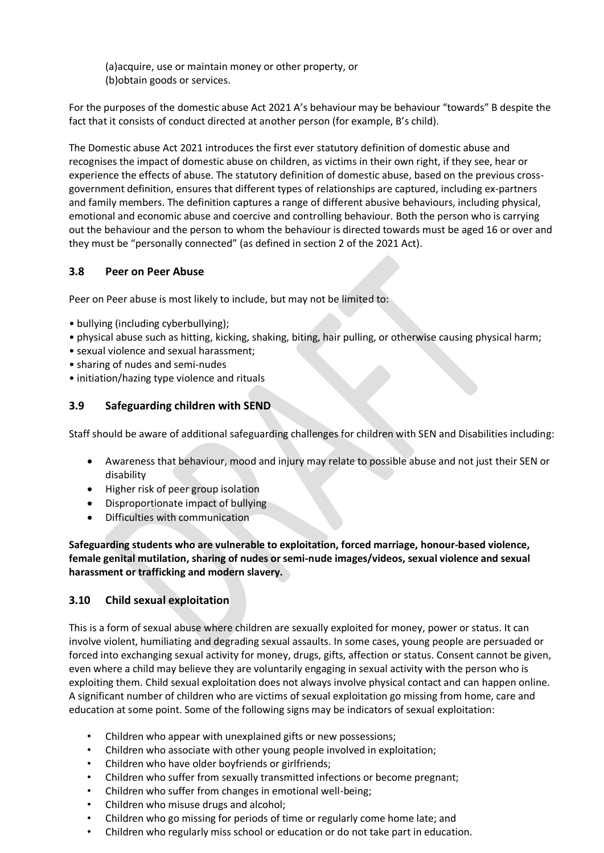(a)acquire, use or maintain money or other property, or (b)obtain goods or services.

For the purposes of the domestic abuse Act 2021 A's behaviour may be behaviour "towards" B despite the fact that it consists of conduct directed at another person (for example, B's child).

The Domestic abuse Act 2021 introduces the first ever statutory definition of domestic abuse and recognises the impact of domestic abuse on children, as victims in their own right, if they see, hear or experience the effects of abuse. The statutory definition of domestic abuse, based on the previous crossgovernment definition, ensures that different types of relationships are captured, including ex-partners and family members. The definition captures a range of different abusive behaviours, including physical, emotional and economic abuse and coercive and controlling behaviour. Both the person who is carrying out the behaviour and the person to whom the behaviour is directed towards must be aged 16 or over and they must be "personally connected" (as defined in section 2 of the 2021 Act).

# **3.8 Peer on Peer Abuse**

Peer on Peer abuse is most likely to include, but may not be limited to:

- bullying (including cyberbullying);
- physical abuse such as hitting, kicking, shaking, biting, hair pulling, or otherwise causing physical harm;
- sexual violence and sexual harassment;
- sharing of nudes and semi-nudes
- initiation/hazing type violence and rituals

# **3.9 Safeguarding children with SEND**

Staff should be aware of additional safeguarding challenges for children with SEN and Disabilities including:

- Awareness that behaviour, mood and injury may relate to possible abuse and not just their SEN or disability
- Higher risk of peer group isolation
- Disproportionate impact of bullying
- Difficulties with communication

**Safeguarding students who are vulnerable to exploitation, forced marriage, honour-based violence, female genital mutilation, sharing of nudes or semi-nude images/videos, sexual violence and sexual harassment or trafficking and modern slavery.**

#### **3.10 Child sexual exploitation**

This is a form of sexual abuse where children are sexually exploited for money, power or status. It can involve violent, humiliating and degrading sexual assaults. In some cases, young people are persuaded or forced into exchanging sexual activity for money, drugs, gifts, affection or status. Consent cannot be given, even where a child may believe they are voluntarily engaging in sexual activity with the person who is exploiting them. Child sexual exploitation does not always involve physical contact and can happen online. A significant number of children who are victims of sexual exploitation go missing from home, care and education at some point. Some of the following signs may be indicators of sexual exploitation:

- Children who appear with unexplained gifts or new possessions;
- Children who associate with other young people involved in exploitation;
- Children who have older boyfriends or girlfriends;
- Children who suffer from sexually transmitted infections or become pregnant;
- Children who suffer from changes in emotional well-being;
- Children who misuse drugs and alcohol;
- Children who go missing for periods of time or regularly come home late; and
- Children who regularly miss school or education or do not take part in education.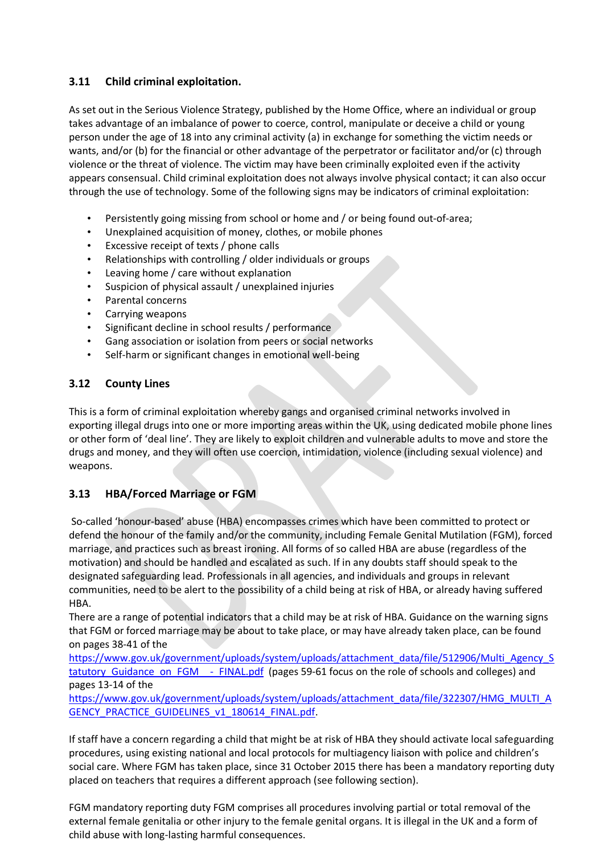# **3.11 Child criminal exploitation.**

As set out in the Serious Violence Strategy, published by the Home Office, where an individual or group takes advantage of an imbalance of power to coerce, control, manipulate or deceive a child or young person under the age of 18 into any criminal activity (a) in exchange for something the victim needs or wants, and/or (b) for the financial or other advantage of the perpetrator or facilitator and/or (c) through violence or the threat of violence. The victim may have been criminally exploited even if the activity appears consensual. Child criminal exploitation does not always involve physical contact; it can also occur through the use of technology. Some of the following signs may be indicators of criminal exploitation:

- Persistently going missing from school or home and / or being found out-of-area;
- Unexplained acquisition of money, clothes, or mobile phones
- Excessive receipt of texts / phone calls
- Relationships with controlling / older individuals or groups
- Leaving home / care without explanation
- Suspicion of physical assault / unexplained injuries
- Parental concerns
- Carrying weapons
- Significant decline in school results / performance
- Gang association or isolation from peers or social networks
- Self-harm or significant changes in emotional well-being

# **3.12 County Lines**

This is a form of criminal exploitation whereby gangs and organised criminal networks involved in exporting illegal drugs into one or more importing areas within the UK, using dedicated mobile phone lines or other form of 'deal line'. They are likely to exploit children and vulnerable adults to move and store the drugs and money, and they will often use coercion, intimidation, violence (including sexual violence) and weapons.

# **3.13 HBA/Forced Marriage or FGM**

So-called 'honour-based' abuse (HBA) encompasses crimes which have been committed to protect or defend the honour of the family and/or the community, including Female Genital Mutilation (FGM), forced marriage, and practices such as breast ironing. All forms of so called HBA are abuse (regardless of the motivation) and should be handled and escalated as such. If in any doubts staff should speak to the designated safeguarding lead. Professionals in all agencies, and individuals and groups in relevant communities, need to be alert to the possibility of a child being at risk of HBA, or already having suffered HBA.

There are a range of potential indicators that a child may be at risk of HBA. Guidance on the warning signs that FGM or forced marriage may be about to take place, or may have already taken place, can be found on pages 38-41 of the

[https://www.gov.uk/government/uploads/system/uploads/attachment\\_data/file/512906/Multi\\_Agency\\_S](https://www.gov.uk/government/uploads/system/uploads/attachment_data/file/512906/Multi_Agency_Statutory_Guidance_on_FGM__-_FINAL.pdf) tatutory Guidance on FGM - FINAL.pdf (pages 59-61 focus on the role of schools and colleges) and pages 13-14 of the

[https://www.gov.uk/government/uploads/system/uploads/attachment\\_data/file/322307/HMG\\_MULTI\\_A](https://www.gov.uk/government/uploads/system/uploads/attachment_data/file/322307/HMG_MULTI_AGENCY_PRACTICE_GUIDELINES_v1_180614_FINAL.pdf) [GENCY\\_PRACTICE\\_GUIDELINES\\_v1\\_180614\\_FINAL.pdf.](https://www.gov.uk/government/uploads/system/uploads/attachment_data/file/322307/HMG_MULTI_AGENCY_PRACTICE_GUIDELINES_v1_180614_FINAL.pdf)

If staff have a concern regarding a child that might be at risk of HBA they should activate local safeguarding procedures, using existing national and local protocols for multiagency liaison with police and children's social care. Where FGM has taken place, since 31 October 2015 there has been a mandatory reporting duty placed on teachers that requires a different approach (see following section).

FGM mandatory reporting duty FGM comprises all procedures involving partial or total removal of the external female genitalia or other injury to the female genital organs. It is illegal in the UK and a form of child abuse with long-lasting harmful consequences.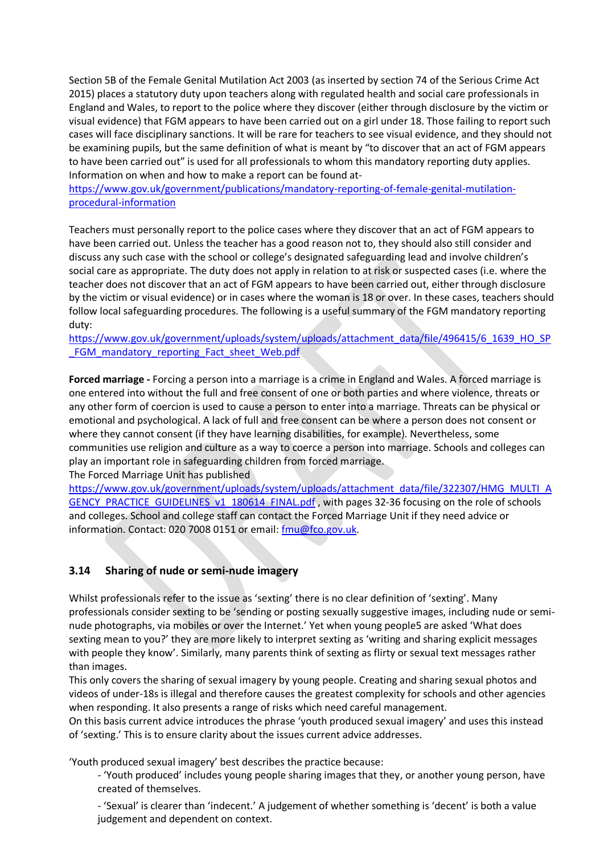Section 5B of the Female Genital Mutilation Act 2003 (as inserted by section 74 of the Serious Crime Act 2015) places a statutory duty upon teachers along with regulated health and social care professionals in England and Wales, to report to the police where they discover (either through disclosure by the victim or visual evidence) that FGM appears to have been carried out on a girl under 18. Those failing to report such cases will face disciplinary sanctions. It will be rare for teachers to see visual evidence, and they should not be examining pupils, but the same definition of what is meant by "to discover that an act of FGM appears to have been carried out" is used for all professionals to whom this mandatory reporting duty applies. Information on when and how to make a report can be found at-

[https://www.gov.uk/government/publications/mandatory-reporting-of-female-genital-mutilation](https://www.gov.uk/government/publications/mandatory-reporting-of-female-genital-mutilation-procedural-information)[procedural-information](https://www.gov.uk/government/publications/mandatory-reporting-of-female-genital-mutilation-procedural-information)

Teachers must personally report to the police cases where they discover that an act of FGM appears to have been carried out. Unless the teacher has a good reason not to, they should also still consider and discuss any such case with the school or college's designated safeguarding lead and involve children's social care as appropriate. The duty does not apply in relation to at risk or suspected cases (i.e. where the teacher does not discover that an act of FGM appears to have been carried out, either through disclosure by the victim or visual evidence) or in cases where the woman is 18 or over. In these cases, teachers should follow local safeguarding procedures. The following is a useful summary of the FGM mandatory reporting duty:

[https://www.gov.uk/government/uploads/system/uploads/attachment\\_data/file/496415/6\\_1639\\_HO\\_SP](https://www.gov.uk/government/uploads/system/uploads/attachment_data/file/496415/6_1639_HO_SP_FGM_mandatory_reporting_Fact_sheet_Web.pdf) FGM\_mandatory\_reporting\_Fact\_sheet\_Web.pdf

**Forced marriage -** Forcing a person into a marriage is a crime in England and Wales. A forced marriage is one entered into without the full and free consent of one or both parties and where violence, threats or any other form of coercion is used to cause a person to enter into a marriage. Threats can be physical or emotional and psychological. A lack of full and free consent can be where a person does not consent or where they cannot consent (if they have learning disabilities, for example). Nevertheless, some communities use religion and culture as a way to coerce a person into marriage. Schools and colleges can play an important role in safeguarding children from forced marriage.

The Forced Marriage Unit has published

[https://www.gov.uk/government/uploads/system/uploads/attachment\\_data/file/322307/HMG\\_MULTI\\_A](https://www.gov.uk/government/uploads/system/uploads/attachment_data/file/322307/HMG_MULTI_AGENCY_PRACTICE_GUIDELINES_v1_180614_FINAL.pdf) [GENCY\\_PRACTICE\\_GUIDELINES\\_v1\\_180614\\_FINAL.pdf](https://www.gov.uk/government/uploads/system/uploads/attachment_data/file/322307/HMG_MULTI_AGENCY_PRACTICE_GUIDELINES_v1_180614_FINAL.pdf), with pages 32-36 focusing on the role of schools and colleges. School and college staff can contact the Forced Marriage Unit if they need advice or information. Contact: 020 7008 0151 or email[: fmu@fco.gov.uk.](mailto:fmu@fco.gov.uk)

# **3.14 Sharing of nude or semi-nude imagery**

Whilst professionals refer to the issue as 'sexting' there is no clear definition of 'sexting'. Many professionals consider sexting to be 'sending or posting sexually suggestive images, including nude or seminude photographs, via mobiles or over the Internet.' Yet when young people5 are asked 'What does sexting mean to you?' they are more likely to interpret sexting as 'writing and sharing explicit messages with people they know'. Similarly, many parents think of sexting as flirty or sexual text messages rather than images.

This only covers the sharing of sexual imagery by young people. Creating and sharing sexual photos and videos of under-18s is illegal and therefore causes the greatest complexity for schools and other agencies when responding. It also presents a range of risks which need careful management.

On this basis current advice introduces the phrase 'youth produced sexual imagery' and uses this instead of 'sexting.' This is to ensure clarity about the issues current advice addresses.

'Youth produced sexual imagery' best describes the practice because:

- 'Youth produced' includes young people sharing images that they, or another young person, have created of themselves.

- 'Sexual' is clearer than 'indecent.' A judgement of whether something is 'decent' is both a value judgement and dependent on context.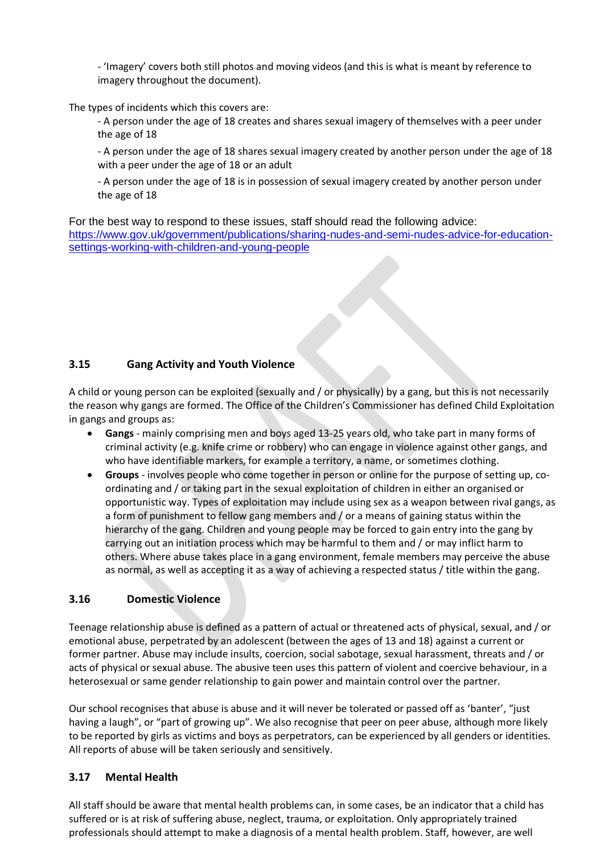- 'Imagery' covers both still photos and moving videos (and this is what is meant by reference to imagery throughout the document).

The types of incidents which this covers are:

- A person under the age of 18 creates and shares sexual imagery of themselves with a peer under the age of 18

- A person under the age of 18 shares sexual imagery created by another person under the age of 18 with a peer under the age of 18 or an adult

- A person under the age of 18 is in possession of sexual imagery created by another person under the age of 18

For the best way to respond to these issues, staff should read the following advice: [https://www.gov.uk/government/publications/sharing-nudes-and-semi-nudes-advice-for-education](https://www.gov.uk/government/publications/sharing-nudes-and-semi-nudes-advice-for-education-settings-working-with-children-and-young-people)[settings-working-with-children-and-young-people](https://www.gov.uk/government/publications/sharing-nudes-and-semi-nudes-advice-for-education-settings-working-with-children-and-young-people)

# **3.15 Gang Activity and Youth Violence**

A child or young person can be exploited (sexually and / or physically) by a gang, but this is not necessarily the reason why gangs are formed. The Office of the Children's Commissioner has defined Child Exploitation in gangs and groups as:

- **Gangs** mainly comprising men and boys aged 13-25 years old, who take part in many forms of criminal activity (e.g. knife crime or robbery) who can engage in violence against other gangs, and who have identifiable markers, for example a territory, a name, or sometimes clothing.
- **Groups** involves people who come together in person or online for the purpose of setting up, coordinating and / or taking part in the sexual exploitation of children in either an organised or opportunistic way. Types of exploitation may include using sex as a weapon between rival gangs, as a form of punishment to fellow gang members and / or a means of gaining status within the hierarchy of the gang. Children and young people may be forced to gain entry into the gang by carrying out an initiation process which may be harmful to them and / or may inflict harm to others. Where abuse takes place in a gang environment, female members may perceive the abuse as normal, as well as accepting it as a way of achieving a respected status / title within the gang.

#### **3.16 Domestic Violence**

Teenage relationship abuse is defined as a pattern of actual or threatened acts of physical, sexual, and / or emotional abuse, perpetrated by an adolescent (between the ages of 13 and 18) against a current or former partner. Abuse may include insults, coercion, social sabotage, sexual harassment, threats and / or acts of physical or sexual abuse. The abusive teen uses this pattern of violent and coercive behaviour, in a heterosexual or same gender relationship to gain power and maintain control over the partner.

Our school recognises that abuse is abuse and it will never be tolerated or passed off as 'banter', "just having a laugh", or "part of growing up". We also recognise that peer on peer abuse, although more likely to be reported by girls as victims and boys as perpetrators, can be experienced by all genders or identities. All reports of abuse will be taken seriously and sensitively.

#### **3.17 Mental Health**

All staff should be aware that mental health problems can, in some cases, be an indicator that a child has suffered or is at risk of suffering abuse, neglect, trauma, or exploitation. Only appropriately trained professionals should attempt to make a diagnosis of a mental health problem. Staff, however, are well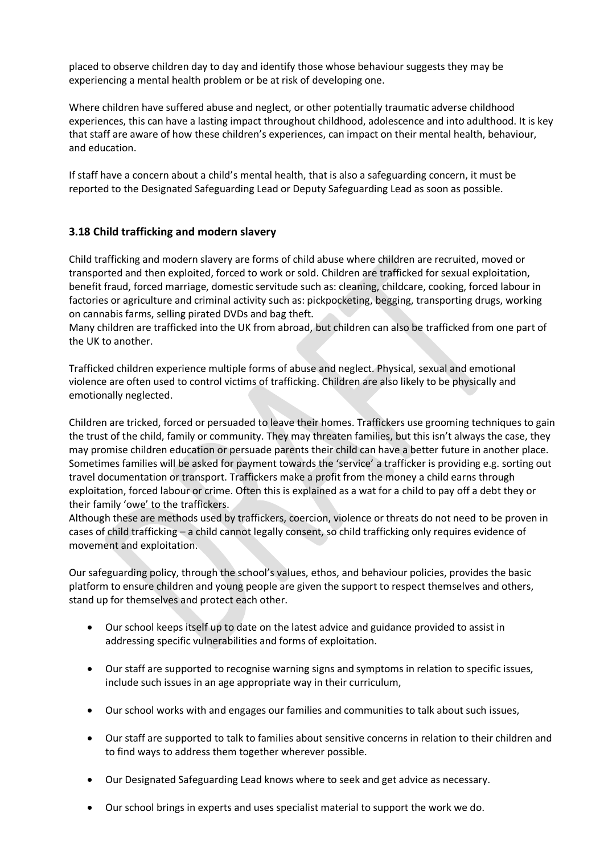placed to observe children day to day and identify those whose behaviour suggests they may be experiencing a mental health problem or be at risk of developing one.

Where children have suffered abuse and neglect, or other potentially traumatic adverse childhood experiences, this can have a lasting impact throughout childhood, adolescence and into adulthood. It is key that staff are aware of how these children's experiences, can impact on their mental health, behaviour, and education.

If staff have a concern about a child's mental health, that is also a safeguarding concern, it must be reported to the Designated Safeguarding Lead or Deputy Safeguarding Lead as soon as possible.

#### **3.18 Child trafficking and modern slavery**

Child trafficking and modern slavery are forms of child abuse where children are recruited, moved or transported and then exploited, forced to work or sold. Children are trafficked for sexual exploitation, benefit fraud, forced marriage, domestic servitude such as: cleaning, childcare, cooking, forced labour in factories or agriculture and criminal activity such as: pickpocketing, begging, transporting drugs, working on cannabis farms, selling pirated DVDs and bag theft.

Many children are trafficked into the UK from abroad, but children can also be trafficked from one part of the UK to another.

Trafficked children experience multiple forms of abuse and neglect. Physical, sexual and emotional violence are often used to control victims of trafficking. Children are also likely to be physically and emotionally neglected.

Children are tricked, forced or persuaded to leave their homes. Traffickers use grooming techniques to gain the trust of the child, family or community. They may threaten families, but this isn't always the case, they may promise children education or persuade parents their child can have a better future in another place. Sometimes families will be asked for payment towards the 'service' a trafficker is providing e.g. sorting out travel documentation or transport. Traffickers make a profit from the money a child earns through exploitation, forced labour or crime. Often this is explained as a wat for a child to pay off a debt they or their family 'owe' to the traffickers.

Although these are methods used by traffickers, coercion, violence or threats do not need to be proven in cases of child trafficking – a child cannot legally consent, so child trafficking only requires evidence of movement and exploitation.

Our safeguarding policy, through the school's values, ethos, and behaviour policies, provides the basic platform to ensure children and young people are given the support to respect themselves and others, stand up for themselves and protect each other.

- Our school keeps itself up to date on the latest advice and guidance provided to assist in addressing specific vulnerabilities and forms of exploitation.
- Our staff are supported to recognise warning signs and symptoms in relation to specific issues, include such issues in an age appropriate way in their curriculum,
- Our school works with and engages our families and communities to talk about such issues,
- Our staff are supported to talk to families about sensitive concerns in relation to their children and to find ways to address them together wherever possible.
- Our Designated Safeguarding Lead knows where to seek and get advice as necessary.
- Our school brings in experts and uses specialist material to support the work we do.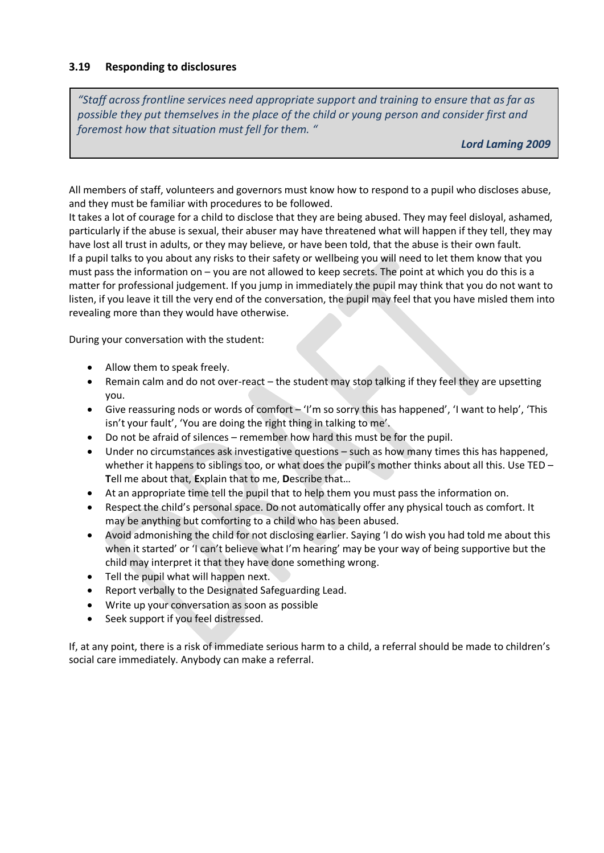#### **3.19 Responding to disclosures**

*"Staff across frontline services need appropriate support and training to ensure that as far as possible they put themselves in the place of the child or young person and consider first and foremost how that situation must fell for them. "* 

*Lord Laming 2009*

All members of staff, volunteers and governors must know how to respond to a pupil who discloses abuse, and they must be familiar with procedures to be followed.

It takes a lot of courage for a child to disclose that they are being abused. They may feel disloyal, ashamed, particularly if the abuse is sexual, their abuser may have threatened what will happen if they tell, they may have lost all trust in adults, or they may believe, or have been told, that the abuse is their own fault. If a pupil talks to you about any risks to their safety or wellbeing you will need to let them know that you must pass the information on – you are not allowed to keep secrets. The point at which you do this is a matter for professional judgement. If you jump in immediately the pupil may think that you do not want to listen, if you leave it till the very end of the conversation, the pupil may feel that you have misled them into revealing more than they would have otherwise.

During your conversation with the student:

- Allow them to speak freely.
- Remain calm and do not over-react the student may stop talking if they feel they are upsetting you.
- Give reassuring nods or words of comfort 'I'm so sorry this has happened', 'I want to help', 'This isn't your fault', 'You are doing the right thing in talking to me'.
- Do not be afraid of silences remember how hard this must be for the pupil.
- Under no circumstances ask investigative questions such as how many times this has happened, whether it happens to siblings too, or what does the pupil's mother thinks about all this. Use TED – **T**ell me about that, **E**xplain that to me, **D**escribe that…
- At an appropriate time tell the pupil that to help them you must pass the information on.
- Respect the child's personal space. Do not automatically offer any physical touch as comfort. It may be anything but comforting to a child who has been abused.
- Avoid admonishing the child for not disclosing earlier. Saying 'I do wish you had told me about this when it started' or 'I can't believe what I'm hearing' may be your way of being supportive but the child may interpret it that they have done something wrong.
- Tell the pupil what will happen next.
- Report verbally to the Designated Safeguarding Lead.
- Write up your conversation as soon as possible
- Seek support if you feel distressed.

If, at any point, there is a risk of immediate serious harm to a child, a referral should be made to children's social care immediately. Anybody can make a referral.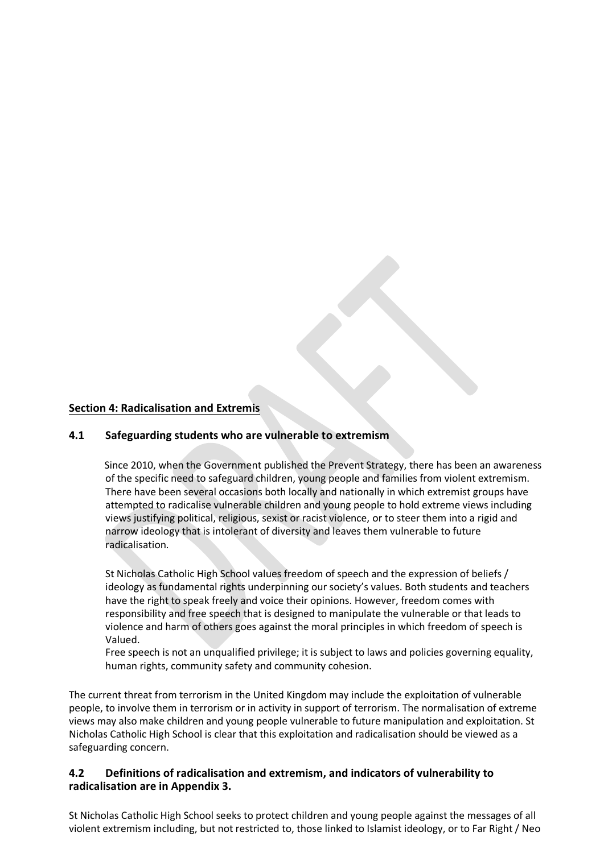#### **Section 4: Radicalisation and Extremis**

#### **4.1 Safeguarding students who are vulnerable to extremism**

Since 2010, when the Government published the Prevent Strategy, there has been an awareness of the specific need to safeguard children, young people and families from violent extremism. There have been several occasions both locally and nationally in which extremist groups have attempted to radicalise vulnerable children and young people to hold extreme views including views justifying political, religious, sexist or racist violence, or to steer them into a rigid and narrow ideology that is intolerant of diversity and leaves them vulnerable to future radicalisation.

St Nicholas Catholic High School values freedom of speech and the expression of beliefs / ideology as fundamental rights underpinning our society's values. Both students and teachers have the right to speak freely and voice their opinions. However, freedom comes with responsibility and free speech that is designed to manipulate the vulnerable or that leads to violence and harm of others goes against the moral principles in which freedom of speech is Valued.

Free speech is not an unqualified privilege; it is subject to laws and policies governing equality, human rights, community safety and community cohesion.

The current threat from terrorism in the United Kingdom may include the exploitation of vulnerable people, to involve them in terrorism or in activity in support of terrorism. The normalisation of extreme views may also make children and young people vulnerable to future manipulation and exploitation. St Nicholas Catholic High School is clear that this exploitation and radicalisation should be viewed as a safeguarding concern.

#### **4.2 Definitions of radicalisation and extremism, and indicators of vulnerability to radicalisation are in Appendix 3.**

St Nicholas Catholic High School seeks to protect children and young people against the messages of all violent extremism including, but not restricted to, those linked to Islamist ideology, or to Far Right / Neo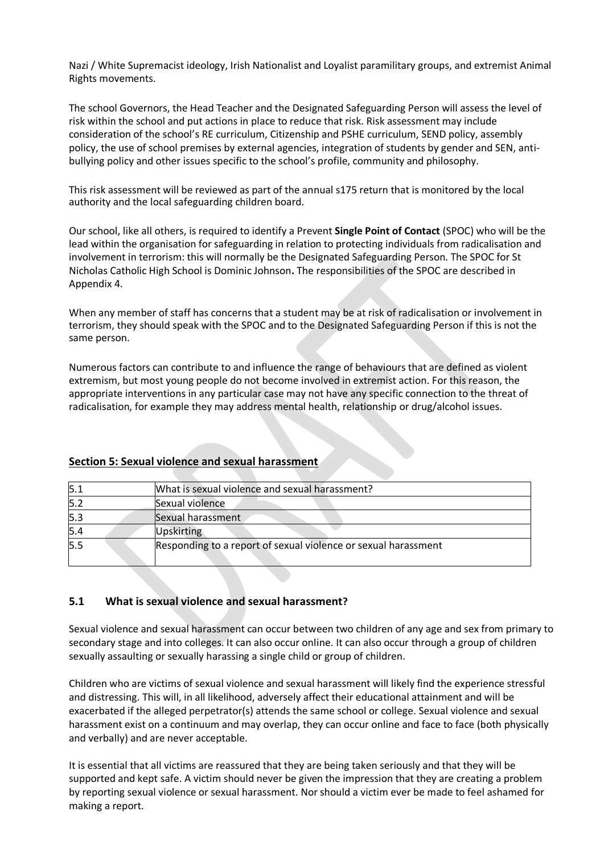Nazi / White Supremacist ideology, Irish Nationalist and Loyalist paramilitary groups, and extremist Animal Rights movements.

The school Governors, the Head Teacher and the Designated Safeguarding Person will assess the level of risk within the school and put actions in place to reduce that risk. Risk assessment may include consideration of the school's RE curriculum, Citizenship and PSHE curriculum, SEND policy, assembly policy, the use of school premises by external agencies, integration of students by gender and SEN, antibullying policy and other issues specific to the school's profile, community and philosophy.

This risk assessment will be reviewed as part of the annual s175 return that is monitored by the local authority and the local safeguarding children board.

Our school, like all others, is required to identify a Prevent **Single Point of Contact** (SPOC) who will be the lead within the organisation for safeguarding in relation to protecting individuals from radicalisation and involvement in terrorism: this will normally be the Designated Safeguarding Person. The SPOC for St Nicholas Catholic High School is Dominic Johnson**.** The responsibilities of the SPOC are described in Appendix 4.

When any member of staff has concerns that a student may be at risk of radicalisation or involvement in terrorism, they should speak with the SPOC and to the Designated Safeguarding Person if this is not the same person.

Numerous factors can contribute to and influence the range of behaviours that are defined as violent extremism, but most young people do not become involved in extremist action. For this reason, the appropriate interventions in any particular case may not have any specific connection to the threat of radicalisation, for example they may address mental health, relationship or drug/alcohol issues.

| 5.1 | What is sexual violence and sexual harassment?                 |
|-----|----------------------------------------------------------------|
| 5.2 | Sexual violence                                                |
| 5.3 | Sexual harassment                                              |
| 5.4 | <b>Upskirting</b>                                              |
| 5.5 | Responding to a report of sexual violence or sexual harassment |

# **Section 5: Sexual violence and sexual harassment**

#### **5.1 What is sexual violence and sexual harassment?**

Sexual violence and sexual harassment can occur between two children of any age and sex from primary to secondary stage and into colleges. It can also occur online. It can also occur through a group of children sexually assaulting or sexually harassing a single child or group of children.

Children who are victims of sexual violence and sexual harassment will likely find the experience stressful and distressing. This will, in all likelihood, adversely affect their educational attainment and will be exacerbated if the alleged perpetrator(s) attends the same school or college. Sexual violence and sexual harassment exist on a continuum and may overlap, they can occur online and face to face (both physically and verbally) and are never acceptable.

It is essential that all victims are reassured that they are being taken seriously and that they will be supported and kept safe. A victim should never be given the impression that they are creating a problem by reporting sexual violence or sexual harassment. Nor should a victim ever be made to feel ashamed for making a report.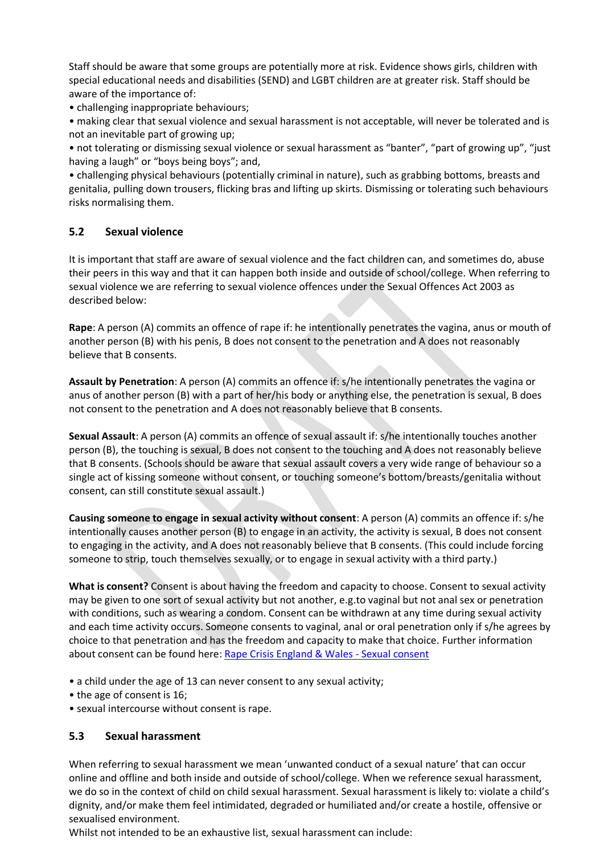Staff should be aware that some groups are potentially more at risk. Evidence shows girls, children with special educational needs and disabilities (SEND) and LGBT children are at greater risk. Staff should be aware of the importance of:

• challenging inappropriate behaviours;

• making clear that sexual violence and sexual harassment is not acceptable, will never be tolerated and is not an inevitable part of growing up;

• not tolerating or dismissing sexual violence or sexual harassment as "banter", "part of growing up", "just having a laugh" or "boys being boys"; and,

• challenging physical behaviours (potentially criminal in nature), such as grabbing bottoms, breasts and genitalia, pulling down trousers, flicking bras and lifting up skirts. Dismissing or tolerating such behaviours risks normalising them.

#### **5.2 Sexual violence**

It is important that staff are aware of sexual violence and the fact children can, and sometimes do, abuse their peers in this way and that it can happen both inside and outside of school/college. When referring to sexual violence we are referring to sexual violence offences under the Sexual Offences Act 2003 as described below:

**Rape**: A person (A) commits an offence of rape if: he intentionally penetrates the vagina, anus or mouth of another person (B) with his penis, B does not consent to the penetration and A does not reasonably believe that B consents.

**Assault by Penetration**: A person (A) commits an offence if: s/he intentionally penetrates the vagina or anus of another person (B) with a part of her/his body or anything else, the penetration is sexual, B does not consent to the penetration and A does not reasonably believe that B consents.

**Sexual Assault**: A person (A) commits an offence of sexual assault if: s/he intentionally touches another person (B), the touching is sexual, B does not consent to the touching and A does not reasonably believe that B consents. (Schools should be aware that sexual assault covers a very wide range of behaviour so a single act of kissing someone without consent, or touching someone's bottom/breasts/genitalia without consent, can still constitute sexual assault.)

**Causing someone to engage in sexual activity without consent**: A person (A) commits an offence if: s/he intentionally causes another person (B) to engage in an activity, the activity is sexual, B does not consent to engaging in the activity, and A does not reasonably believe that B consents. (This could include forcing someone to strip, touch themselves sexually, or to engage in sexual activity with a third party.)

**What is consent?** Consent is about having the freedom and capacity to choose. Consent to sexual activity may be given to one sort of sexual activity but not another, e.g.to vaginal but not anal sex or penetration with conditions, such as wearing a condom. Consent can be withdrawn at any time during sexual activity and each time activity occurs. Someone consents to vaginal, anal or oral penetration only if s/he agrees by choice to that penetration and has the freedom and capacity to make that choice. Further information about consent can be found here[: Rape Crisis England & Wales -](https://rapecrisis.org.uk/get-informed/about-sexual-violence/sexual-consent/) Sexual consent

- a child under the age of 13 can never consent to any sexual activity;
- the age of consent is 16;
- sexual intercourse without consent is rape.

#### **5.3 Sexual harassment**

When referring to sexual harassment we mean 'unwanted conduct of a sexual nature' that can occur online and offline and both inside and outside of school/college. When we reference sexual harassment, we do so in the context of child on child sexual harassment. Sexual harassment is likely to: violate a child's dignity, and/or make them feel intimidated, degraded or humiliated and/or create a hostile, offensive or sexualised environment.

Whilst not intended to be an exhaustive list, sexual harassment can include: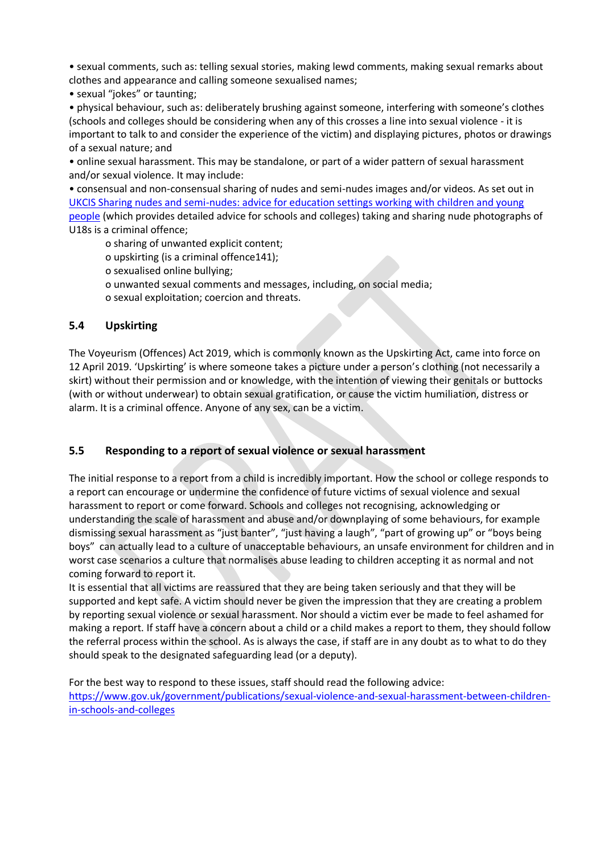• sexual comments, such as: telling sexual stories, making lewd comments, making sexual remarks about clothes and appearance and calling someone sexualised names;

• sexual "jokes" or taunting;

• physical behaviour, such as: deliberately brushing against someone, interfering with someone's clothes (schools and colleges should be considering when any of this crosses a line into sexual violence - it is important to talk to and consider the experience of the victim) and displaying pictures, photos or drawings of a sexual nature; and

• online sexual harassment. This may be standalone, or part of a wider pattern of sexual harassment and/or sexual violence. It may include:

• consensual and non-consensual sharing of nudes and semi-nudes images and/or videos. As set out in [UKCIS Sharing nudes and semi-nudes: advice for education settings working with children and young](https://www.gov.uk/government/publications/sharing-nudes-and-semi-nudes-advice-for-education-settings-working-with-children-and-young-people)  [people](https://www.gov.uk/government/publications/sharing-nudes-and-semi-nudes-advice-for-education-settings-working-with-children-and-young-people) (which provides detailed advice for schools and colleges) taking and sharing nude photographs of U18s is a criminal offence;

o sharing of unwanted explicit content;

o upskirting (is a criminal offence141);

o sexualised online bullying;

- o unwanted sexual comments and messages, including, on social media;
- o sexual exploitation; coercion and threats.

#### **5.4 Upskirting**

The Voyeurism (Offences) Act 2019, which is commonly known as the Upskirting Act, came into force on 12 April 2019. 'Upskirting' is where someone takes a picture under a person's clothing (not necessarily a skirt) without their permission and or knowledge, with the intention of viewing their genitals or buttocks (with or without underwear) to obtain sexual gratification, or cause the victim humiliation, distress or alarm. It is a criminal offence. Anyone of any sex, can be a victim.

#### **5.5 Responding to a report of sexual violence or sexual harassment**

The initial response to a report from a child is incredibly important. How the school or college responds to a report can encourage or undermine the confidence of future victims of sexual violence and sexual harassment to report or come forward. Schools and colleges not recognising, acknowledging or understanding the scale of harassment and abuse and/or downplaying of some behaviours, for example dismissing sexual harassment as "just banter", "just having a laugh", "part of growing up" or "boys being boys" can actually lead to a culture of unacceptable behaviours, an unsafe environment for children and in worst case scenarios a culture that normalises abuse leading to children accepting it as normal and not coming forward to report it.

It is essential that all victims are reassured that they are being taken seriously and that they will be supported and kept safe. A victim should never be given the impression that they are creating a problem by reporting sexual violence or sexual harassment. Nor should a victim ever be made to feel ashamed for making a report. If staff have a concern about a child or a child makes a report to them, they should follow the referral process within the school. As is always the case, if staff are in any doubt as to what to do they should speak to the designated safeguarding lead (or a deputy).

For the best way to respond to these issues, staff should read the following advice: [https://www.gov.uk/government/publications/sexual-violence-and-sexual-harassment-between-children](https://www.gov.uk/government/publications/sexual-violence-and-sexual-harassment-between-children-in-schools-and-colleges)[in-schools-and-colleges](https://www.gov.uk/government/publications/sexual-violence-and-sexual-harassment-between-children-in-schools-and-colleges)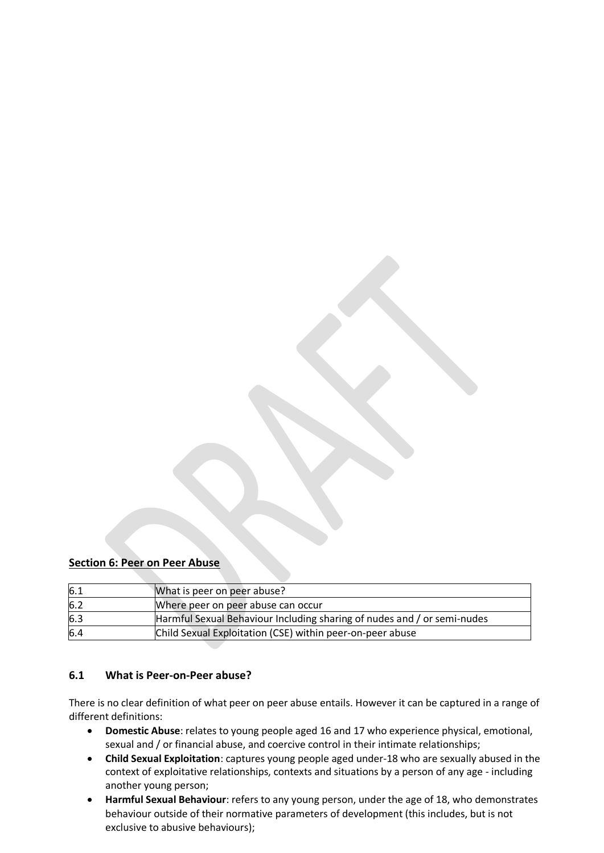#### **Section 6: Peer on Peer Abuse**

| 6.1 | What is peer on peer abuse?                                             |
|-----|-------------------------------------------------------------------------|
| 6.2 | Where peer on peer abuse can occur                                      |
| 6.3 | Harmful Sexual Behaviour Including sharing of nudes and / or semi-nudes |
| 6.4 | Child Sexual Exploitation (CSE) within peer-on-peer abuse               |

#### **6.1 What is Peer-on-Peer abuse?**

There is no clear definition of what peer on peer abuse entails. However it can be captured in a range of different definitions:

- **Domestic Abuse**: relates to young people aged 16 and 17 who experience physical, emotional, sexual and / or financial abuse, and coercive control in their intimate relationships;
- **Child Sexual Exploitation**: captures young people aged under-18 who are sexually abused in the context of exploitative relationships, contexts and situations by a person of any age - including another young person;
- **Harmful Sexual Behaviour**: refers to any young person, under the age of 18, who demonstrates behaviour outside of their normative parameters of development (this includes, but is not exclusive to abusive behaviours);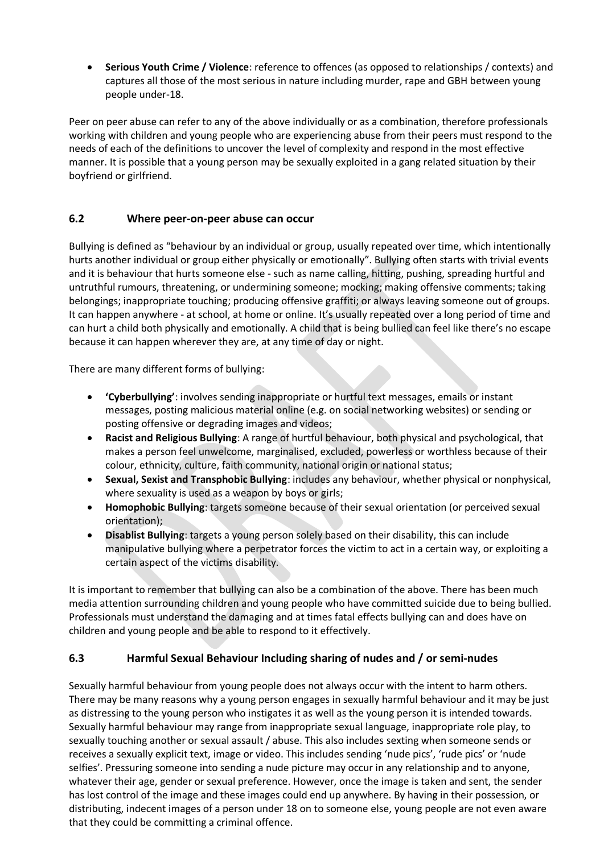• **Serious Youth Crime / Violence**: reference to offences (as opposed to relationships / contexts) and captures all those of the most serious in nature including murder, rape and GBH between young people under-18.

Peer on peer abuse can refer to any of the above individually or as a combination, therefore professionals working with children and young people who are experiencing abuse from their peers must respond to the needs of each of the definitions to uncover the level of complexity and respond in the most effective manner. It is possible that a young person may be sexually exploited in a gang related situation by their boyfriend or girlfriend.

# **6.2 Where peer-on-peer abuse can occur**

Bullying is defined as "behaviour by an individual or group, usually repeated over time, which intentionally hurts another individual or group either physically or emotionally". Bullying often starts with trivial events and it is behaviour that hurts someone else - such as name calling, hitting, pushing, spreading hurtful and untruthful rumours, threatening, or undermining someone; mocking; making offensive comments; taking belongings; inappropriate touching; producing offensive graffiti; or always leaving someone out of groups. It can happen anywhere - at school, at home or online. It's usually repeated over a long period of time and can hurt a child both physically and emotionally. A child that is being bullied can feel like there's no escape because it can happen wherever they are, at any time of day or night.

There are many different forms of bullying:

- **'Cyberbullying'**: involves sending inappropriate or hurtful text messages, emails or instant messages, posting malicious material online (e.g. on social networking websites) or sending or posting offensive or degrading images and videos;
- **Racist and Religious Bullying**: A range of hurtful behaviour, both physical and psychological, that makes a person feel unwelcome, marginalised, excluded, powerless or worthless because of their colour, ethnicity, culture, faith community, national origin or national status;
- **Sexual, Sexist and Transphobic Bullying**: includes any behaviour, whether physical or nonphysical, where sexuality is used as a weapon by boys or girls;
- **Homophobic Bullying**: targets someone because of their sexual orientation (or perceived sexual orientation);
- **Disablist Bullying**: targets a young person solely based on their disability, this can include manipulative bullying where a perpetrator forces the victim to act in a certain way, or exploiting a certain aspect of the victims disability.

It is important to remember that bullying can also be a combination of the above. There has been much media attention surrounding children and young people who have committed suicide due to being bullied. Professionals must understand the damaging and at times fatal effects bullying can and does have on children and young people and be able to respond to it effectively.

#### **6.3 Harmful Sexual Behaviour Including sharing of nudes and / or semi-nudes**

Sexually harmful behaviour from young people does not always occur with the intent to harm others. There may be many reasons why a young person engages in sexually harmful behaviour and it may be just as distressing to the young person who instigates it as well as the young person it is intended towards. Sexually harmful behaviour may range from inappropriate sexual language, inappropriate role play, to sexually touching another or sexual assault / abuse. This also includes sexting when someone sends or receives a sexually explicit text, image or video. This includes sending 'nude pics', 'rude pics' or 'nude selfies'. Pressuring someone into sending a nude picture may occur in any relationship and to anyone, whatever their age, gender or sexual preference. However, once the image is taken and sent, the sender has lost control of the image and these images could end up anywhere. By having in their possession, or distributing, indecent images of a person under 18 on to someone else, young people are not even aware that they could be committing a criminal offence.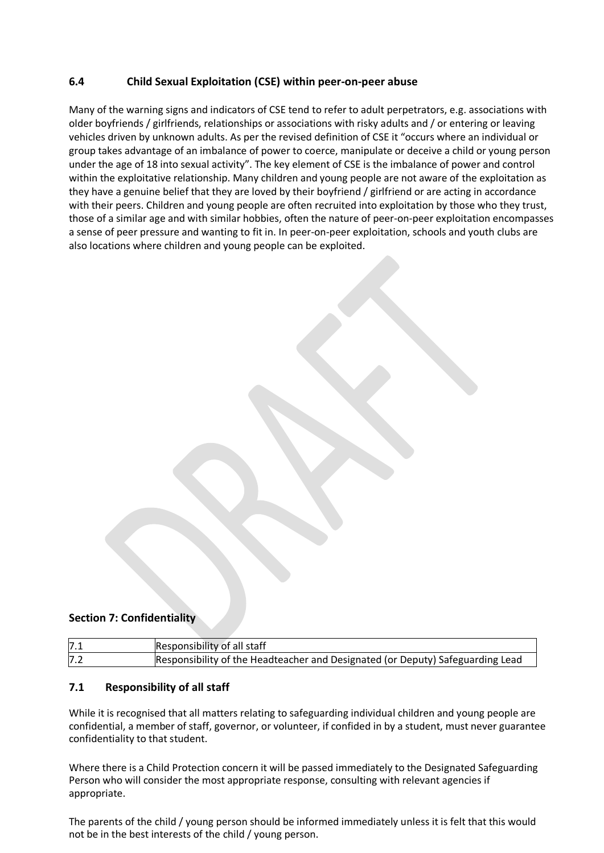# **6.4 Child Sexual Exploitation (CSE) within peer-on-peer abuse**

Many of the warning signs and indicators of CSE tend to refer to adult perpetrators, e.g. associations with older boyfriends / girlfriends, relationships or associations with risky adults and / or entering or leaving vehicles driven by unknown adults. As per the revised definition of CSE it "occurs where an individual or group takes advantage of an imbalance of power to coerce, manipulate or deceive a child or young person under the age of 18 into sexual activity". The key element of CSE is the imbalance of power and control within the exploitative relationship. Many children and young people are not aware of the exploitation as they have a genuine belief that they are loved by their boyfriend / girlfriend or are acting in accordance with their peers. Children and young people are often recruited into exploitation by those who they trust, those of a similar age and with similar hobbies, often the nature of peer-on-peer exploitation encompasses a sense of peer pressure and wanting to fit in. In peer-on-peer exploitation, schools and youth clubs are also locations where children and young people can be exploited.

#### **Section 7: Confidentiality**

| 7.1 | Responsibility of all staff                                                    |
|-----|--------------------------------------------------------------------------------|
| 7.2 | Responsibility of the Headteacher and Designated (or Deputy) Safeguarding Lead |

#### **7.1 Responsibility of all staff**

While it is recognised that all matters relating to safeguarding individual children and young people are confidential, a member of staff, governor, or volunteer, if confided in by a student, must never guarantee confidentiality to that student.

Where there is a Child Protection concern it will be passed immediately to the Designated Safeguarding Person who will consider the most appropriate response, consulting with relevant agencies if appropriate.

The parents of the child / young person should be informed immediately unless it is felt that this would not be in the best interests of the child / young person.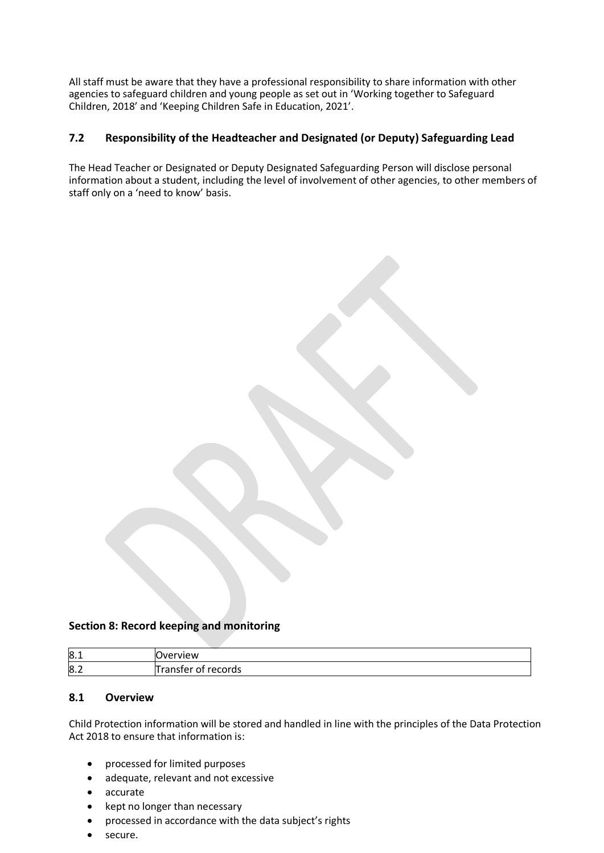All staff must be aware that they have a professional responsibility to share information with other agencies to safeguard children and young people as set out in 'Working together to Safeguard Children, 2018' and 'Keeping Children Safe in Education, 2021'.

#### **7.2 Responsibility of the Headteacher and Designated (or Deputy) Safeguarding Lead**

The Head Teacher or Designated or Deputy Designated Safeguarding Person will disclose personal information about a student, including the level of involvement of other agencies, to other members of staff only on a 'need to know' basis.

#### **Section 8: Record keeping and monitoring**

| 8.1 | <b>Overview</b>                  |
|-----|----------------------------------|
| 8.2 | records<br><b>franster</b><br>ΩŤ |

#### **8.1 Overview**

Child Protection information will be stored and handled in line with the principles of the Data Protection Act 2018 to ensure that information is:

- processed for limited purposes
- adequate, relevant and not excessive
- accurate
- kept no longer than necessary
- processed in accordance with the data subject's rights
- secure.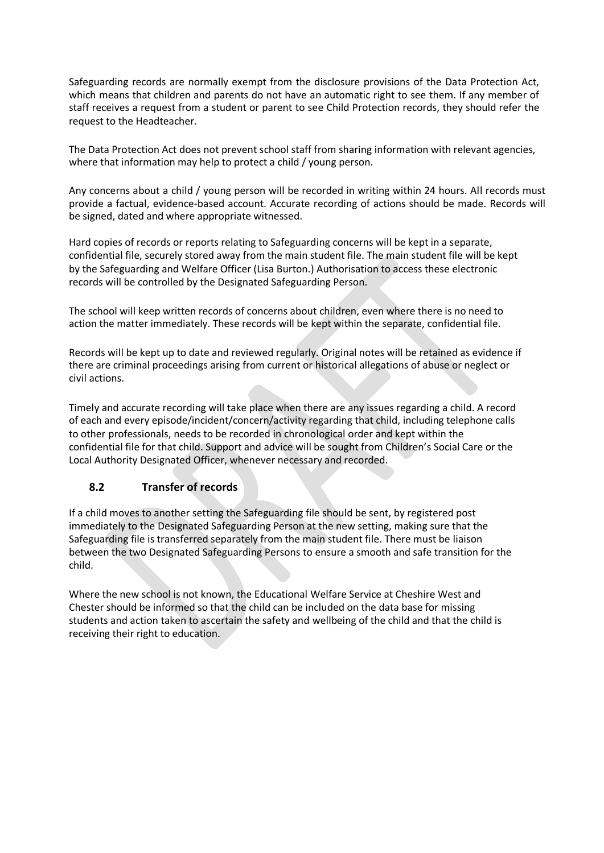Safeguarding records are normally exempt from the disclosure provisions of the Data Protection Act, which means that children and parents do not have an automatic right to see them. If any member of staff receives a request from a student or parent to see Child Protection records, they should refer the request to the Headteacher.

The Data Protection Act does not prevent school staff from sharing information with relevant agencies, where that information may help to protect a child / young person.

Any concerns about a child / young person will be recorded in writing within 24 hours. All records must provide a factual, evidence-based account. Accurate recording of actions should be made. Records will be signed, dated and where appropriate witnessed.

Hard copies of records or reports relating to Safeguarding concerns will be kept in a separate, confidential file, securely stored away from the main student file. The main student file will be kept by the Safeguarding and Welfare Officer (Lisa Burton.) Authorisation to access these electronic records will be controlled by the Designated Safeguarding Person.

The school will keep written records of concerns about children, even where there is no need to action the matter immediately. These records will be kept within the separate, confidential file.

Records will be kept up to date and reviewed regularly. Original notes will be retained as evidence if there are criminal proceedings arising from current or historical allegations of abuse or neglect or civil actions.

Timely and accurate recording will take place when there are any issues regarding a child. A record of each and every episode/incident/concern/activity regarding that child, including telephone calls to other professionals, needs to be recorded in chronological order and kept within the confidential file for that child. Support and advice will be sought from Children's Social Care or the Local Authority Designated Officer, whenever necessary and recorded.

# **8.2 Transfer of records**

If a child moves to another setting the Safeguarding file should be sent, by registered post immediately to the Designated Safeguarding Person at the new setting, making sure that the Safeguarding file is transferred separately from the main student file. There must be liaison between the two Designated Safeguarding Persons to ensure a smooth and safe transition for the child.

Where the new school is not known, the Educational Welfare Service at Cheshire West and Chester should be informed so that the child can be included on the data base for missing students and action taken to ascertain the safety and wellbeing of the child and that the child is receiving their right to education.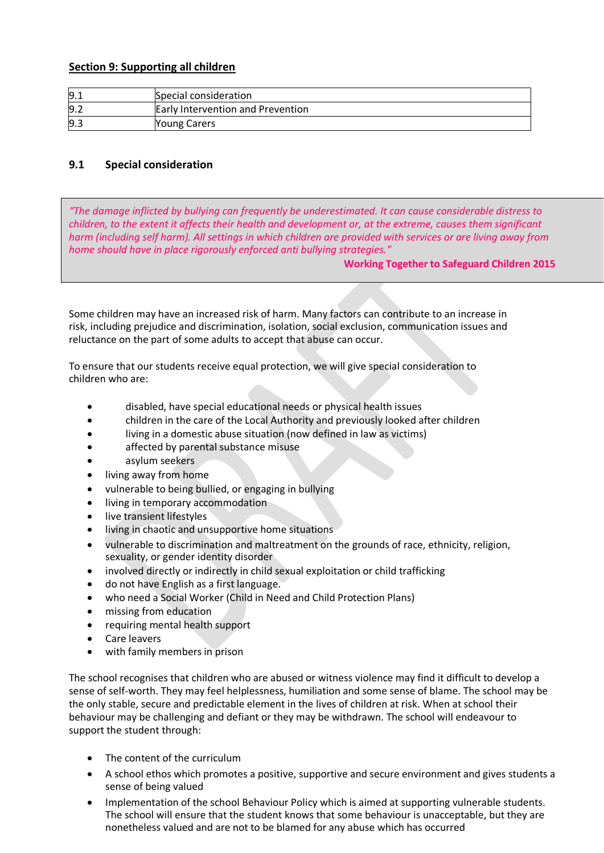#### **Section 9: Supporting all children**

| 9.1 | Special consideration             |
|-----|-----------------------------------|
| 9.2 | Early Intervention and Prevention |
| 9.3 | <b>Young Carers</b>               |

#### **9.1 Special consideration**

*"The damage inflicted by bullying can frequently be underestimated. It can cause considerable distress to children, to the extent it affects their health and development or, at the extreme, causes them significant harm (including self harm). All settings in which children are provided with services or are living away from home should have in place rigorously enforced anti bullying strategies."*

#### **Working Together to Safeguard Children 2015**

Some children may have an increased risk of harm. Many factors can contribute to an increase in risk, including prejudice and discrimination, isolation, social exclusion, communication issues and reluctance on the part of some adults to accept that abuse can occur.

To ensure that our students receive equal protection, we will give special consideration to children who are:

- disabled, have special educational needs or physical health issues
- children in the care of the Local Authority and previously looked after children
- living in a domestic abuse situation (now defined in law as victims)
- affected by parental substance misuse
- asylum seekers
- living away from home
- vulnerable to being bullied, or engaging in bullying
- living in temporary accommodation
- live transient lifestyles
- living in chaotic and unsupportive home situations
- vulnerable to discrimination and maltreatment on the grounds of race, ethnicity, religion, sexuality, or gender identity disorder
- involved directly or indirectly in child sexual exploitation or child trafficking
- do not have English as a first language.
- who need a Social Worker (Child in Need and Child Protection Plans)
- missing from education
- requiring mental health support
- Care leavers
- with family members in prison

The school recognises that children who are abused or witness violence may find it difficult to develop a sense of self-worth. They may feel helplessness, humiliation and some sense of blame. The school may be the only stable, secure and predictable element in the lives of children at risk. When at school their behaviour may be challenging and defiant or they may be withdrawn. The school will endeavour to support the student through:

- The content of the curriculum
- A school ethos which promotes a positive, supportive and secure environment and gives students a sense of being valued
- Implementation of the school Behaviour Policy which is aimed at supporting vulnerable students. The school will ensure that the student knows that some behaviour is unacceptable, but they are nonetheless valued and are not to be blamed for any abuse which has occurred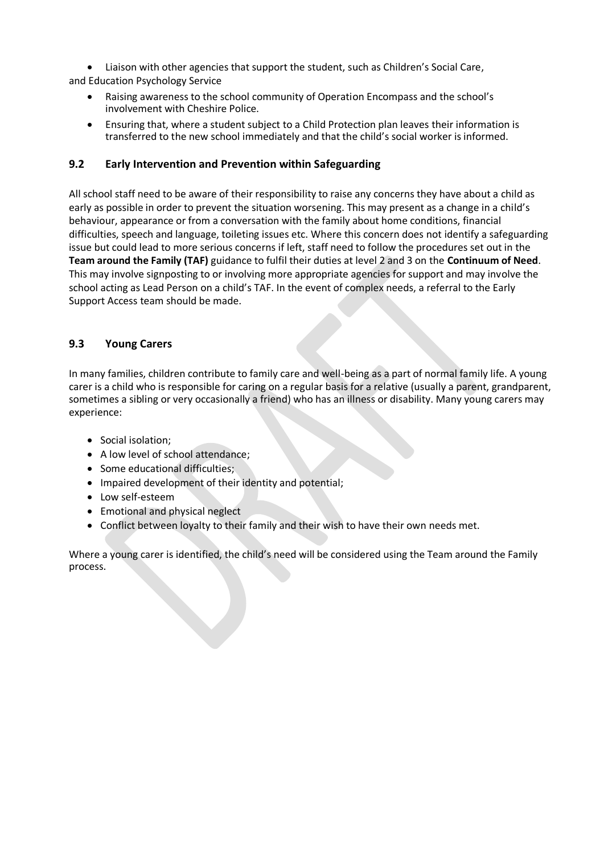• Liaison with other agencies that support the student, such as Children's Social Care, and Education Psychology Service

- Raising awareness to the school community of Operation Encompass and the school's involvement with Cheshire Police.
- Ensuring that, where a student subject to a Child Protection plan leaves their information is transferred to the new school immediately and that the child's social worker is informed.

#### **9.2 Early Intervention and Prevention within Safeguarding**

All school staff need to be aware of their responsibility to raise any concerns they have about a child as early as possible in order to prevent the situation worsening. This may present as a change in a child's behaviour, appearance or from a conversation with the family about home conditions, financial difficulties, speech and language, toileting issues etc. Where this concern does not identify a safeguarding issue but could lead to more serious concerns if left, staff need to follow the procedures set out in the **Team around the Family (TAF)** guidance to fulfil their duties at level 2 and 3 on the **Continuum of Need**. This may involve signposting to or involving more appropriate agencies for support and may involve the school acting as Lead Person on a child's TAF. In the event of complex needs, a referral to the Early Support Access team should be made.

# **9.3 Young Carers**

In many families, children contribute to family care and well-being as a part of normal family life. A young carer is a child who is responsible for caring on a regular basis for a relative (usually a parent, grandparent, sometimes a sibling or very occasionally a friend) who has an illness or disability. Many young carers may experience:

- Social isolation;
- A low level of school attendance:
- Some educational difficulties;
- Impaired development of their identity and potential;
- Low self-esteem
- Emotional and physical neglect
- Conflict between loyalty to their family and their wish to have their own needs met.

Where a young carer is identified, the child's need will be considered using the Team around the Family process.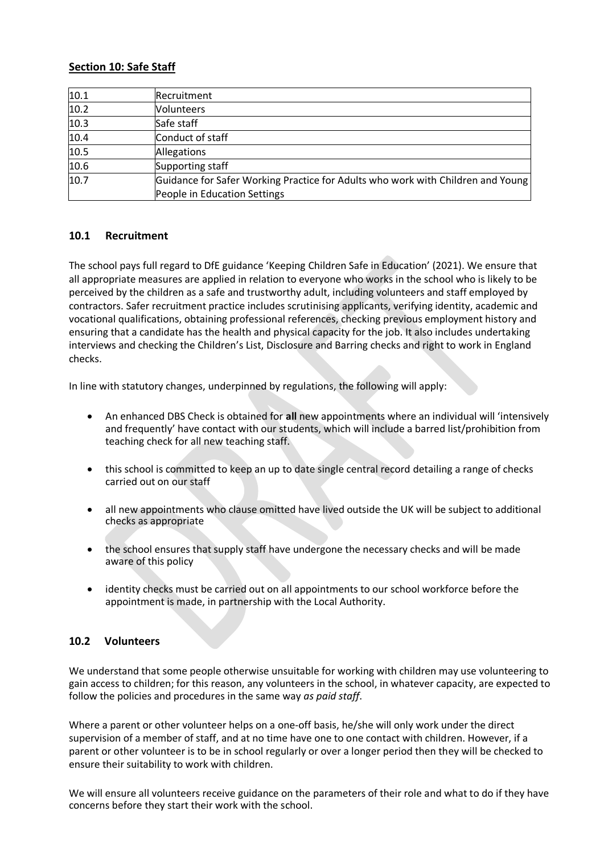#### **Section 10: Safe Staff**

| 10.1 | Recruitment                                                                     |
|------|---------------------------------------------------------------------------------|
| 10.2 | Volunteers                                                                      |
| 10.3 | Safe staff                                                                      |
| 10.4 | Conduct of staff                                                                |
| 10.5 | Allegations                                                                     |
| 10.6 | Supporting staff                                                                |
| 10.7 | Guidance for Safer Working Practice for Adults who work with Children and Young |
|      | People in Education Settings                                                    |

#### **10.1 Recruitment**

The school pays full regard to DfE guidance 'Keeping Children Safe in Education' (2021). We ensure that all appropriate measures are applied in relation to everyone who works in the school who is likely to be perceived by the children as a safe and trustworthy adult, including volunteers and staff employed by contractors. Safer recruitment practice includes scrutinising applicants, verifying identity, academic and vocational qualifications, obtaining professional references, checking previous employment history and ensuring that a candidate has the health and physical capacity for the job. It also includes undertaking interviews and checking the Children's List, Disclosure and Barring checks and right to work in England checks.

In line with statutory changes, underpinned by regulations, the following will apply:

- An enhanced DBS Check is obtained for **all** new appointments where an individual will 'intensively and frequently' have contact with our students, which will include a barred list/prohibition from teaching check for all new teaching staff.
- this school is committed to keep an up to date single central record detailing a range of checks carried out on our staff
- all new appointments who clause omitted have lived outside the UK will be subject to additional checks as appropriate
- the school ensures that supply staff have undergone the necessary checks and will be made aware of this policy
- identity checks must be carried out on all appointments to our school workforce before the appointment is made, in partnership with the Local Authority.

#### **10.2 Volunteers**

We understand that some people otherwise unsuitable for working with children may use volunteering to gain access to children; for this reason, any volunteers in the school, in whatever capacity, are expected to follow the policies and procedures in the same way *as paid staff*.

Where a parent or other volunteer helps on a one-off basis, he/she will only work under the direct supervision of a member of staff, and at no time have one to one contact with children. However, if a parent or other volunteer is to be in school regularly or over a longer period then they will be checked to ensure their suitability to work with children.

We will ensure all volunteers receive guidance on the parameters of their role and what to do if they have concerns before they start their work with the school.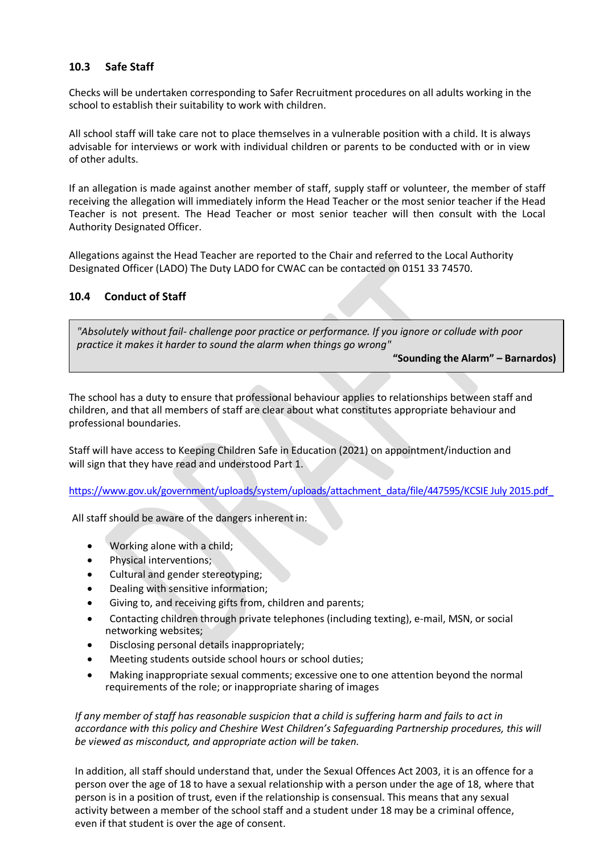# **10.3 Safe Staff**

Checks will be undertaken corresponding to Safer Recruitment procedures on all adults working in the school to establish their suitability to work with children.

All school staff will take care not to place themselves in a vulnerable position with a child. It is always advisable for interviews or work with individual children or parents to be conducted with or in view of other adults.

If an allegation is made against another member of staff, supply staff or volunteer, the member of staff receiving the allegation will immediately inform the Head Teacher or the most senior teacher if the Head Teacher is not present. The Head Teacher or most senior teacher will then consult with the Local Authority Designated Officer.

Allegations against the Head Teacher are reported to the Chair and referred to the Local Authority Designated Officer (LADO) The Duty LADO for CWAC can be contacted on 0151 33 74570.

#### **10.4 Conduct of Staff**

*"Absolutely without fail- challenge poor practice or performance. If you ignore or collude with poor practice it makes it harder to sound the alarm when things go wrong"*

**"Sounding the Alarm" – Barnardos)**

The school has a duty to ensure that professional behaviour applies to relationships between staff and children, and that all members of staff are clear about what constitutes appropriate behaviour and professional boundaries.

Staff will have access to Keeping Children Safe in Education (2021) on appointment/induction and will sign that they have read and understood Part 1.

[https://www.gov.uk/government/uploads/system/uploads/attachment\\_data/file/447595/KCSIE July 2015.pdf\\_](https://www.gov.uk/government/uploads/system/uploads/attachment_data/file/447595/KCSIE%20July%202015.pdf_)

All staff should be aware of the dangers inherent in:

- Working alone with a child;
- Physical interventions;
- Cultural and gender stereotyping;
- Dealing with sensitive information;
- Giving to, and receiving gifts from, children and parents;
- Contacting children through private telephones (including texting), e-mail, MSN, or social networking websites;
- Disclosing personal details inappropriately;
- Meeting students outside school hours or school duties;
- Making inappropriate sexual comments; excessive one to one attention beyond the normal requirements of the role; or inappropriate sharing of images

*If any member of staff has reasonable suspicion that a child is suffering harm and fails to act in accordance with this policy and Cheshire West Children's Safeguarding Partnership procedures, this will be viewed as misconduct, and appropriate action will be taken.*

In addition, all staff should understand that, under the Sexual Offences Act 2003, it is an offence for a person over the age of 18 to have a sexual relationship with a person under the age of 18, where that person is in a position of trust, even if the relationship is consensual. This means that any sexual activity between a member of the school staff and a student under 18 may be a criminal offence, even if that student is over the age of consent.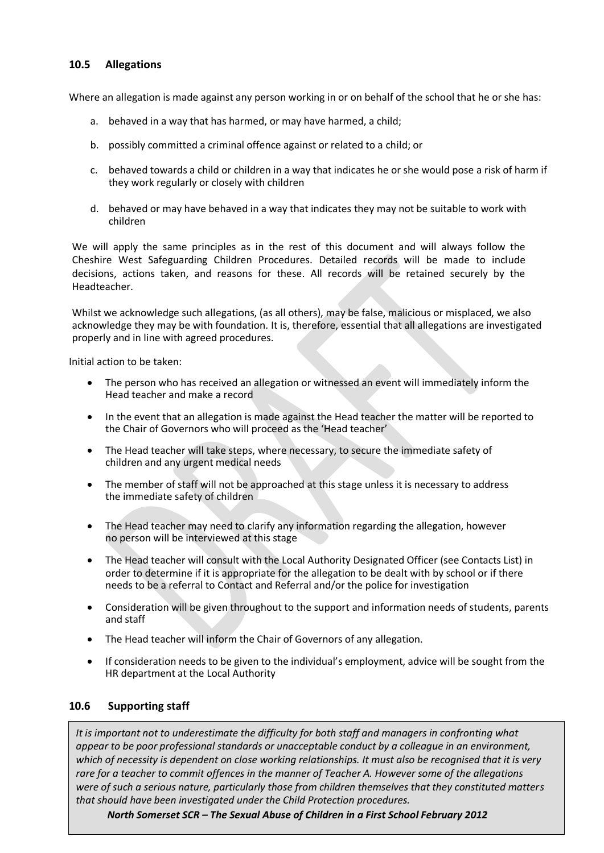#### **10.5 Allegations**

Where an allegation is made against any person working in or on behalf of the school that he or she has:

- a. behaved in a way that has harmed, or may have harmed, a child;
- b. possibly committed a criminal offence against or related to a child; or
- c. behaved towards a child or children in a way that indicates he or she would pose a risk of harm if they work regularly or closely with children
- d. behaved or may have behaved in a way that indicates they may not be suitable to work with children

We will apply the same principles as in the rest of this document and will always follow the Cheshire West Safeguarding Children Procedures. Detailed records will be made to include decisions, actions taken, and reasons for these. All records will be retained securely by the Headteacher.

Whilst we acknowledge such allegations, (as all others), may be false, malicious or misplaced, we also acknowledge they may be with foundation. It is, therefore, essential that all allegations are investigated properly and in line with agreed procedures.

Initial action to be taken:

- The person who has received an allegation or witnessed an event will immediately inform the Head teacher and make a record
- In the event that an allegation is made against the Head teacher the matter will be reported to the Chair of Governors who will proceed as the 'Head teacher'
- The Head teacher will take steps, where necessary, to secure the immediate safety of children and any urgent medical needs
- The member of staff will not be approached at this stage unless it is necessary to address the immediate safety of children
- The Head teacher may need to clarify any information regarding the allegation, however no person will be interviewed at this stage
- The Head teacher will consult with the Local Authority Designated Officer (see Contacts List) in order to determine if it is appropriate for the allegation to be dealt with by school or if there needs to be a referral to Contact and Referral and/or the police for investigation
- Consideration will be given throughout to the support and information needs of students, parents and staff
- The Head teacher will inform the Chair of Governors of any allegation.
- If consideration needs to be given to the individual's employment, advice will be sought from the HR department at the Local Authority

#### **10.6 Supporting staff**

*It is important not to underestimate the difficulty for both staff and managers in confronting what appear to be poor professional standards or unacceptable conduct by a colleague in an environment, which of necessity is dependent on close working relationships. It must also be recognised that it is very rare for a teacher to commit offences in the manner of Teacher A. However some of the allegations were of such a serious nature, particularly those from children themselves that they constituted matters that should have been investigated under the Child Protection procedures.*

*North Somerset SCR – The Sexual Abuse of Children in a First School February 2012*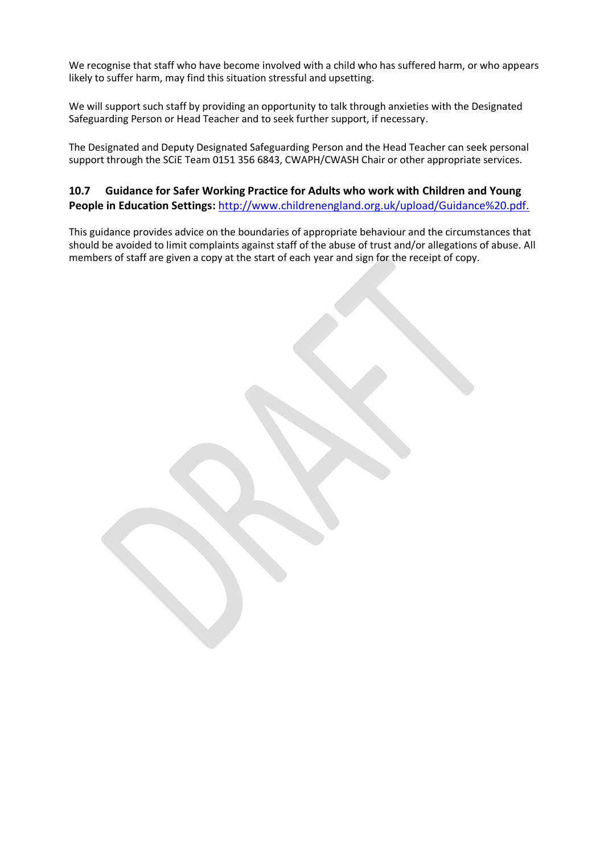We recognise that staff who have become involved with a child who has suffered harm, or who appears likely to suffer harm, may find this situation stressful and upsetting.

We will support such staff by providing an opportunity to talk through anxieties with the Designated Safeguarding Person or Head Teacher and to seek further support, if necessary.

The Designated and Deputy Designated Safeguarding Person and the Head Teacher can seek personal support through the SCiE Team 0151 356 6843, CWAPH/CWASH Chair or other appropriate services.

# **10.7 Guidance for Safer Working Practice for Adults who work with Children and Young People in Education Settings:** <http://www.childrenengland.org.uk/upload/Guidance%20.pdf.>

This guidance provides advice on the boundaries of appropriate behaviour and the circumstances that should be avoided to limit complaints against staff of the abuse of trust and/or allegations of abuse. All members of staff are given a copy at the start of each year and sign for the receipt of copy.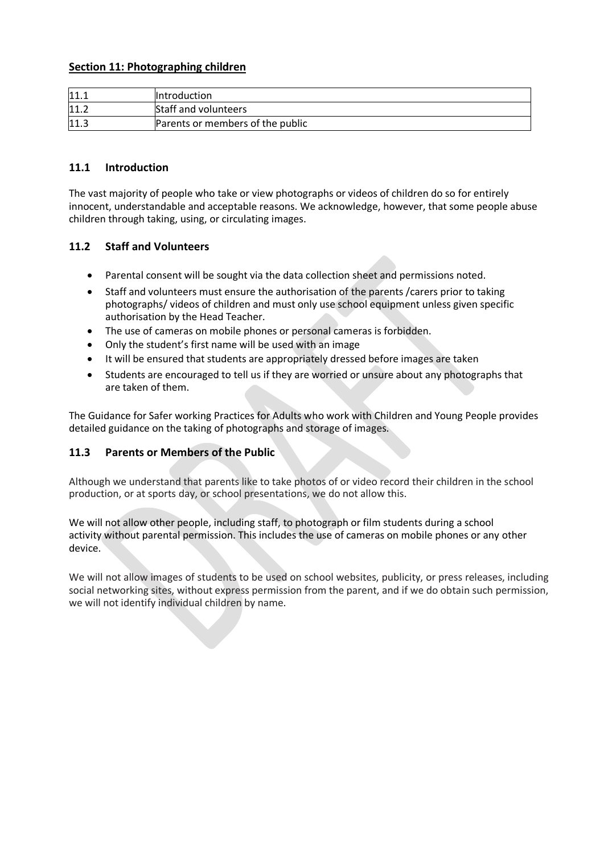#### **Section 11: Photographing children**

| 11.1 | <b>Introduction</b>              |
|------|----------------------------------|
| 11.2 | Staff and volunteers             |
| 11.3 | Parents or members of the public |

#### **11.1 Introduction**

The vast majority of people who take or view photographs or videos of children do so for entirely innocent, understandable and acceptable reasons. We acknowledge, however, that some people abuse children through taking, using, or circulating images.

#### **11.2 Staff and Volunteers**

- Parental consent will be sought via the data collection sheet and permissions noted.
- Staff and volunteers must ensure the authorisation of the parents /carers prior to taking photographs/ videos of children and must only use school equipment unless given specific authorisation by the Head Teacher.
- The use of cameras on mobile phones or personal cameras is forbidden.
- Only the student's first name will be used with an image
- It will be ensured that students are appropriately dressed before images are taken
- Students are encouraged to tell us if they are worried or unsure about any photographs that are taken of them.

The Guidance for Safer working Practices for Adults who work with Children and Young People provides detailed guidance on the taking of photographs and storage of images.

#### **11.3 Parents or Members of the Public**

Although we understand that parents like to take photos of or video record their children in the school production, or at sports day, or school presentations, we do not allow this.

We will not allow other people, including staff, to photograph or film students during a school activity without parental permission. This includes the use of cameras on mobile phones or any other device.

We will not allow images of students to be used on school websites, publicity, or press releases, including social networking sites, without express permission from the parent, and if we do obtain such permission, we will not identify individual children by name.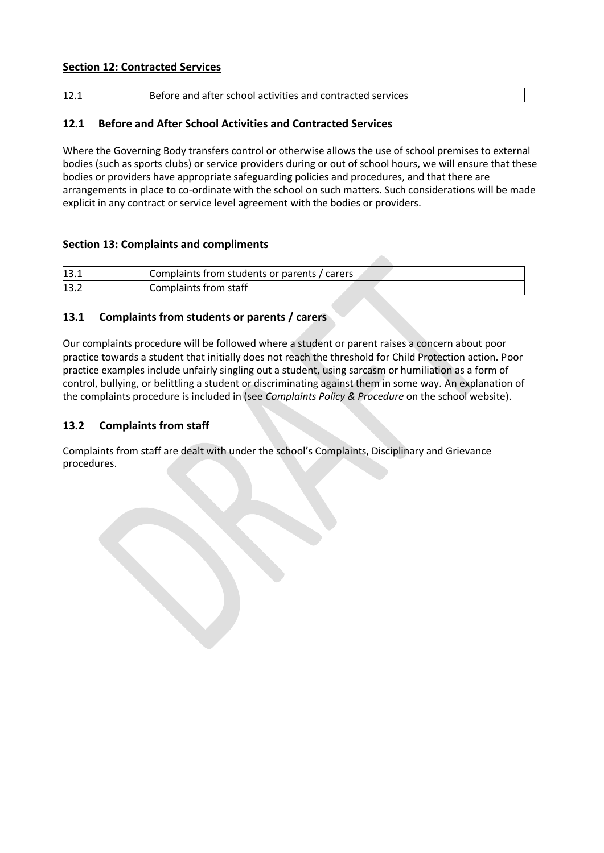#### **Section 12: Contracted Services**

| Before and after school activities and contracted services<br>12.1 |  |
|--------------------------------------------------------------------|--|
|--------------------------------------------------------------------|--|

# **12.1 Before and After School Activities and Contracted Services**

Where the Governing Body transfers control or otherwise allows the use of school premises to external bodies (such as sports clubs) or service providers during or out of school hours, we will ensure that these bodies or providers have appropriate safeguarding policies and procedures, and that there are arrangements in place to co-ordinate with the school on such matters. Such considerations will be made explicit in any contract or service level agreement with the bodies or providers.

#### **Section 13: Complaints and compliments**

| 13.1 | Complaints from students or parents / carers |
|------|----------------------------------------------|
| 13.2 | Complaints from staff                        |

# **13.1 Complaints from students or parents / carers**

Our complaints procedure will be followed where a student or parent raises a concern about poor practice towards a student that initially does not reach the threshold for Child Protection action. Poor practice examples include unfairly singling out a student, using sarcasm or humiliation as a form of control, bullying, or belittling a student or discriminating against them in some way. An explanation of the complaints procedure is included in (see *Complaints Policy & Procedure* on the school website).

#### **13.2 Complaints from staff**

Complaints from staff are dealt with under the school's Complaints, Disciplinary and Grievance procedures.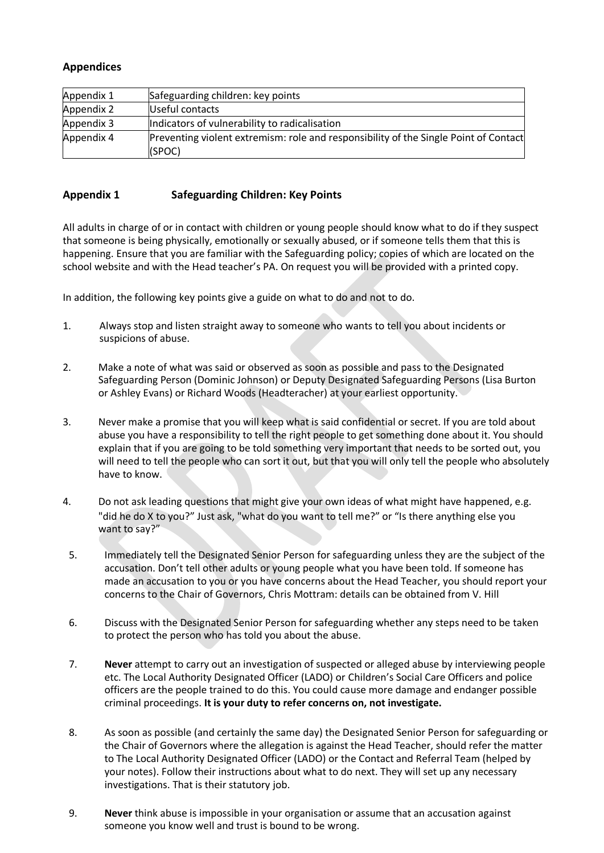# **Appendices**

| Appendix 1 | Safeguarding children: key points                                                              |
|------------|------------------------------------------------------------------------------------------------|
| Appendix 2 | Useful contacts                                                                                |
| Appendix 3 | Indicators of vulnerability to radicalisation                                                  |
| Appendix 4 | Preventing violent extremism: role and responsibility of the Single Point of Contact<br>(SPOC) |

#### **Appendix 1 Safeguarding Children: Key Points**

All adults in charge of or in contact with children or young people should know what to do if they suspect that someone is being physically, emotionally or sexually abused, or if someone tells them that this is happening. Ensure that you are familiar with the Safeguarding policy; copies of which are located on the school website and with the Head teacher's PA. On request you will be provided with a printed copy.

In addition, the following key points give a guide on what to do and not to do.

- 1. Always stop and listen straight away to someone who wants to tell you about incidents or suspicions of abuse.
- 2. Make a note of what was said or observed as soon as possible and pass to the Designated Safeguarding Person (Dominic Johnson) or Deputy Designated Safeguarding Persons (Lisa Burton or Ashley Evans) or Richard Woods (Headteracher) at your earliest opportunity.
- 3. Never make a promise that you will keep what is said confidential or secret. If you are told about abuse you have a responsibility to tell the right people to get something done about it. You should explain that if you are going to be told something very important that needs to be sorted out, you will need to tell the people who can sort it out, but that you will only tell the people who absolutely have to know.
- 4. Do not ask leading questions that might give your own ideas of what might have happened, e.g. "did he do X to you?" Just ask, "what do you want to tell me?" or "Is there anything else you want to say?"
- 5. Immediately tell the Designated Senior Person for safeguarding unless they are the subject of the accusation. Don't tell other adults or young people what you have been told. If someone has made an accusation to you or you have concerns about the Head Teacher, you should report your concerns to the Chair of Governors, Chris Mottram: details can be obtained from V. Hill
- 6. Discuss with the Designated Senior Person for safeguarding whether any steps need to be taken to protect the person who has told you about the abuse.
- 7. **Never** attempt to carry out an investigation of suspected or alleged abuse by interviewing people etc. The Local Authority Designated Officer (LADO) or Children's Social Care Officers and police officers are the people trained to do this. You could cause more damage and endanger possible criminal proceedings. **It is your duty to refer concerns on, not investigate.**
- 8. As soon as possible (and certainly the same day) the Designated Senior Person for safeguarding or the Chair of Governors where the allegation is against the Head Teacher, should refer the matter to The Local Authority Designated Officer (LADO) or the Contact and Referral Team (helped by your notes). Follow their instructions about what to do next. They will set up any necessary investigations. That is their statutory job.
- 9. **Never** think abuse is impossible in your organisation or assume that an accusation against someone you know well and trust is bound to be wrong.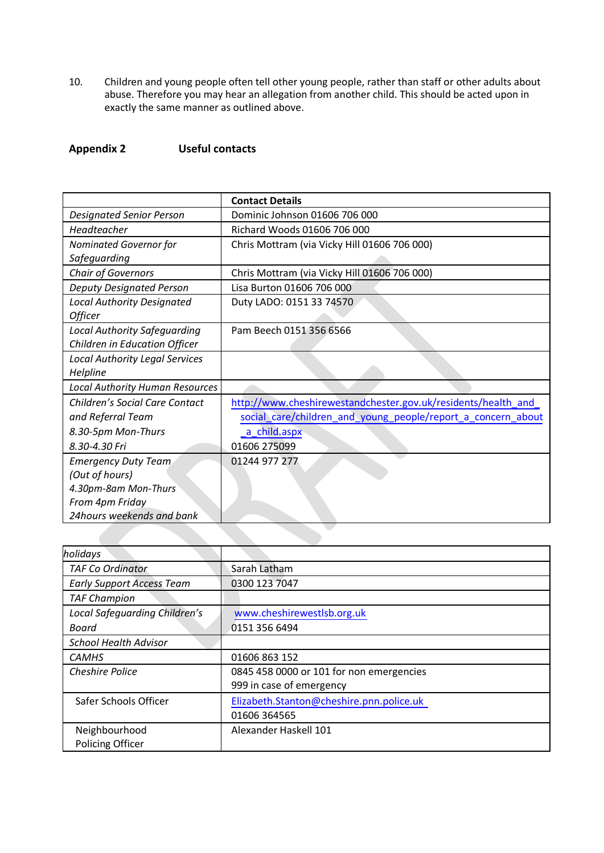10. Children and young people often tell other young people, rather than staff or other adults about abuse. Therefore you may hear an allegation from another child. This should be acted upon in exactly the same manner as outlined above.

**Appendix 2 Useful contacts**

|                                        | <b>Contact Details</b>                                        |
|----------------------------------------|---------------------------------------------------------------|
| <b>Designated Senior Person</b>        | Dominic Johnson 01606 706 000                                 |
| Headteacher                            | Richard Woods 01606 706 000                                   |
| <b>Nominated Governor for</b>          | Chris Mottram (via Vicky Hill 01606 706 000)                  |
| Safeguarding                           |                                                               |
| <b>Chair of Governors</b>              | Chris Mottram (via Vicky Hill 01606 706 000)                  |
| <b>Deputy Designated Person</b>        | Lisa Burton 01606 706 000                                     |
| <b>Local Authority Designated</b>      | Duty LADO: 0151 33 74570                                      |
| Officer                                |                                                               |
| <b>Local Authority Safeguarding</b>    | Pam Beech 0151 356 6566                                       |
| Children in Education Officer          |                                                               |
| <b>Local Authority Legal Services</b>  |                                                               |
| Helpline                               |                                                               |
| <b>Local Authority Human Resources</b> |                                                               |
| Children's Social Care Contact         | http://www.cheshirewestandchester.gov.uk/residents/health_and |
| and Referral Team                      | social_care/children_and_young_people/report_a_concern_about  |
| 8.30-5pm Mon-Thurs                     | a_child.aspx                                                  |
| 8.30-4.30 Fri                          | 01606 275099                                                  |
| <b>Emergency Duty Team</b>             | 01244 977 277                                                 |
| (Out of hours)                         |                                                               |
| 4.30pm-8am Mon-Thurs                   |                                                               |
| From 4pm Friday                        |                                                               |
| 24hours weekends and bank              |                                                               |
|                                        |                                                               |

| holidays                         |                                          |
|----------------------------------|------------------------------------------|
| <b>TAF Co Ordinator</b>          | Sarah Latham                             |
| <b>Early Support Access Team</b> | 0300 123 7047                            |
| <b>TAF Champion</b>              |                                          |
| Local Safeguarding Children's    | www.cheshirewestlsb.org.uk               |
| Board                            | 0151 356 6494                            |
| <b>School Health Advisor</b>     |                                          |
| <b>CAMHS</b>                     | 01606 863 152                            |
| <b>Cheshire Police</b>           | 0845 458 0000 or 101 for non emergencies |
|                                  | 999 in case of emergency                 |
| Safer Schools Officer            | Elizabeth.Stanton@cheshire.pnn.police.uk |
|                                  | 01606 364565                             |
| Neighbourhood                    | Alexander Haskell 101                    |
| <b>Policing Officer</b>          |                                          |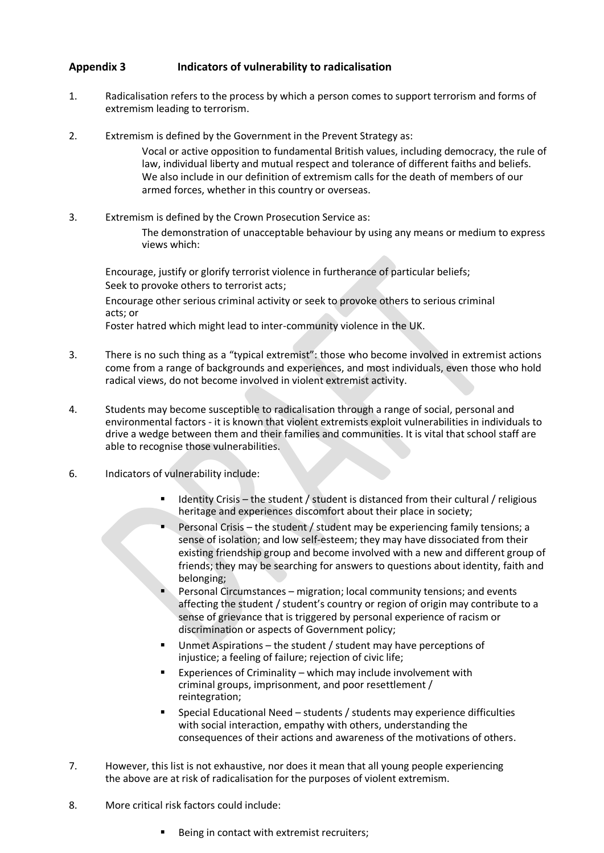#### **Appendix 3 Indicators of vulnerability to radicalisation**

- 1. Radicalisation refers to the process by which a person comes to support terrorism and forms of extremism leading to terrorism.
- 2. Extremism is defined by the Government in the Prevent Strategy as:

Vocal or active opposition to fundamental British values, including democracy, the rule of law, individual liberty and mutual respect and tolerance of different faiths and beliefs. We also include in our definition of extremism calls for the death of members of our armed forces, whether in this country or overseas.

3. Extremism is defined by the Crown Prosecution Service as: The demonstration of unacceptable behaviour by using any means or medium to express views which:

Encourage, justify or glorify terrorist violence in furtherance of particular beliefs; Seek to provoke others to terrorist acts; Encourage other serious criminal activity or seek to provoke others to serious criminal acts; or Foster hatred which might lead to inter-community violence in the UK.

- 3. There is no such thing as a "typical extremist": those who become involved in extremist actions come from a range of backgrounds and experiences, and most individuals, even those who hold radical views, do not become involved in violent extremist activity.
- 4. Students may become susceptible to radicalisation through a range of social, personal and environmental factors - it is known that violent extremists exploit vulnerabilities in individuals to drive a wedge between them and their families and communities. It is vital that school staff are able to recognise those vulnerabilities.
- 6. Indicators of vulnerability include:
	- Identity Crisis the student / student is distanced from their cultural / religious heritage and experiences discomfort about their place in society;
	- Personal Crisis the student / student may be experiencing family tensions; a sense of isolation; and low self-esteem; they may have dissociated from their existing friendship group and become involved with a new and different group of friends; they may be searching for answers to questions about identity, faith and belonging;
	- Personal Circumstances migration; local community tensions; and events affecting the student / student's country or region of origin may contribute to a sense of grievance that is triggered by personal experience of racism or discrimination or aspects of Government policy;
	- Unmet Aspirations the student / student may have perceptions of injustice; a feeling of failure; rejection of civic life;
	- Experiences of Criminality which may include involvement with criminal groups, imprisonment, and poor resettlement / reintegration;
	- Special Educational Need students / students may experience difficulties with social interaction, empathy with others, understanding the consequences of their actions and awareness of the motivations of others.
- 7. However, this list is not exhaustive, nor does it mean that all young people experiencing the above are at risk of radicalisation for the purposes of violent extremism.
- 8. More critical risk factors could include:
	- Being in contact with extremist recruiters;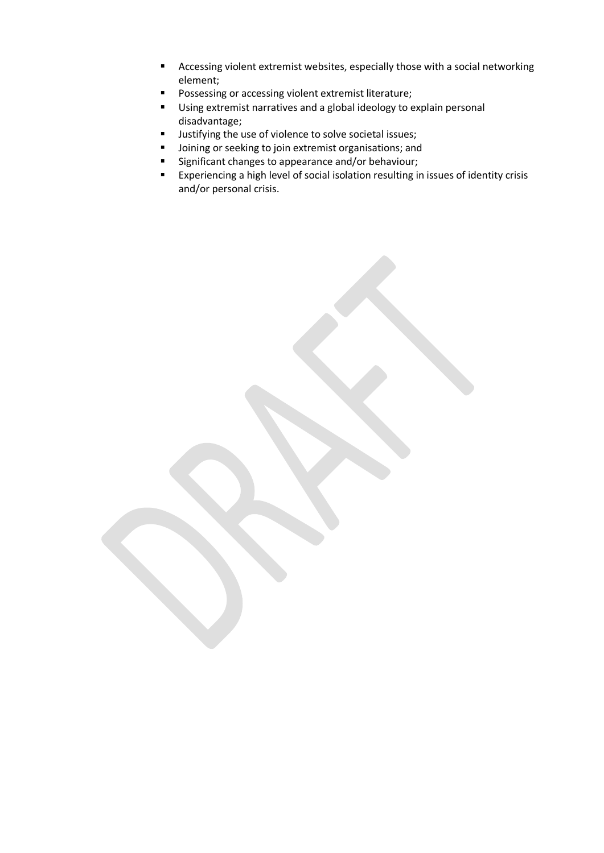- Accessing violent extremist websites, especially those with a social networking element;
- Possessing or accessing violent extremist literature;
- Using extremist narratives and a global ideology to explain personal disadvantage;
- Justifying the use of violence to solve societal issues;
- Joining or seeking to join extremist organisations; and
- Significant changes to appearance and/or behaviour;
- Experiencing a high level of social isolation resulting in issues of identity crisis and/or personal crisis.